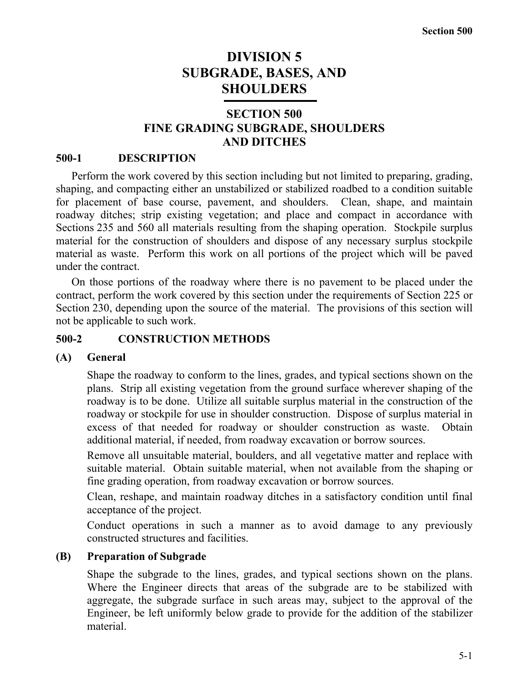# **DIVISION 5 SUBGRADE, BASES, AND SHOULDERS**

# **SECTION 500 FINE GRADING SUBGRADE, SHOULDERS AND DITCHES**

## **500-1 DESCRIPTION**

Perform the work covered by this section including but not limited to preparing, grading, shaping, and compacting either an unstabilized or stabilized roadbed to a condition suitable for placement of base course, pavement, and shoulders. Clean, shape, and maintain roadway ditches; strip existing vegetation; and place and compact in accordance with Sections 235 and 560 all materials resulting from the shaping operation. Stockpile surplus material for the construction of shoulders and dispose of any necessary surplus stockpile material as waste. Perform this work on all portions of the project which will be paved under the contract.

On those portions of the roadway where there is no pavement to be placed under the contract, perform the work covered by this section under the requirements of Section 225 or Section 230, depending upon the source of the material. The provisions of this section will not be applicable to such work.

## **500-2 CONSTRUCTION METHODS**

## **(A) General**

Shape the roadway to conform to the lines, grades, and typical sections shown on the plans. Strip all existing vegetation from the ground surface wherever shaping of the roadway is to be done. Utilize all suitable surplus material in the construction of the roadway or stockpile for use in shoulder construction. Dispose of surplus material in excess of that needed for roadway or shoulder construction as waste. Obtain additional material, if needed, from roadway excavation or borrow sources.

Remove all unsuitable material, boulders, and all vegetative matter and replace with suitable material. Obtain suitable material, when not available from the shaping or fine grading operation, from roadway excavation or borrow sources.

Clean, reshape, and maintain roadway ditches in a satisfactory condition until final acceptance of the project.

Conduct operations in such a manner as to avoid damage to any previously constructed structures and facilities.

## **(B) Preparation of Subgrade**

Shape the subgrade to the lines, grades, and typical sections shown on the plans. Where the Engineer directs that areas of the subgrade are to be stabilized with aggregate, the subgrade surface in such areas may, subject to the approval of the Engineer, be left uniformly below grade to provide for the addition of the stabilizer material.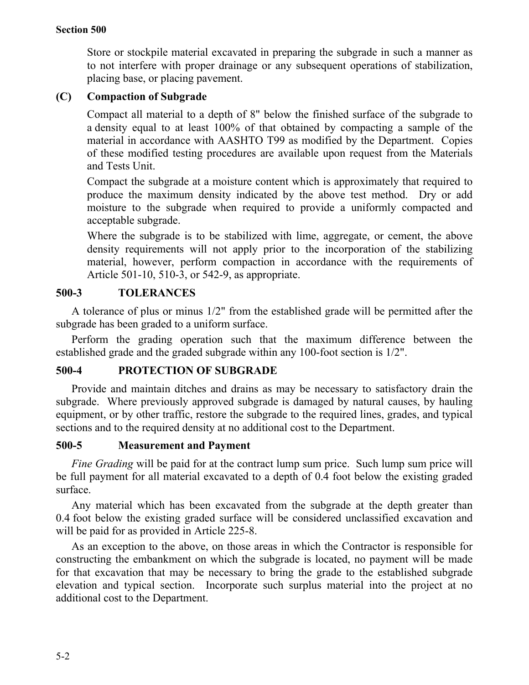Store or stockpile material excavated in preparing the subgrade in such a manner as to not interfere with proper drainage or any subsequent operations of stabilization, placing base, or placing pavement.

## **(C) Compaction of Subgrade**

Compact all material to a depth of 8" below the finished surface of the subgrade to a density equal to at least 100% of that obtained by compacting a sample of the material in accordance with AASHTO T99 as modified by the Department. Copies of these modified testing procedures are available upon request from the Materials and Tests Unit.

Compact the subgrade at a moisture content which is approximately that required to produce the maximum density indicated by the above test method. Dry or add moisture to the subgrade when required to provide a uniformly compacted and acceptable subgrade.

Where the subgrade is to be stabilized with lime, aggregate, or cement, the above density requirements will not apply prior to the incorporation of the stabilizing material, however, perform compaction in accordance with the requirements of Article 501-10, 510-3, or 542-9, as appropriate.

## **500-3 TOLERANCES**

A tolerance of plus or minus 1/2" from the established grade will be permitted after the subgrade has been graded to a uniform surface.

Perform the grading operation such that the maximum difference between the established grade and the graded subgrade within any 100-foot section is 1/2".

## **500-4 PROTECTION OF SUBGRADE**

Provide and maintain ditches and drains as may be necessary to satisfactory drain the subgrade. Where previously approved subgrade is damaged by natural causes, by hauling equipment, or by other traffic, restore the subgrade to the required lines, grades, and typical sections and to the required density at no additional cost to the Department.

## **500-5 Measurement and Payment**

*Fine Grading* will be paid for at the contract lump sum price. Such lump sum price will be full payment for all material excavated to a depth of 0.4 foot below the existing graded surface.

Any material which has been excavated from the subgrade at the depth greater than 0.4 foot below the existing graded surface will be considered unclassified excavation and will be paid for as provided in Article 225-8.

As an exception to the above, on those areas in which the Contractor is responsible for constructing the embankment on which the subgrade is located, no payment will be made for that excavation that may be necessary to bring the grade to the established subgrade elevation and typical section. Incorporate such surplus material into the project at no additional cost to the Department.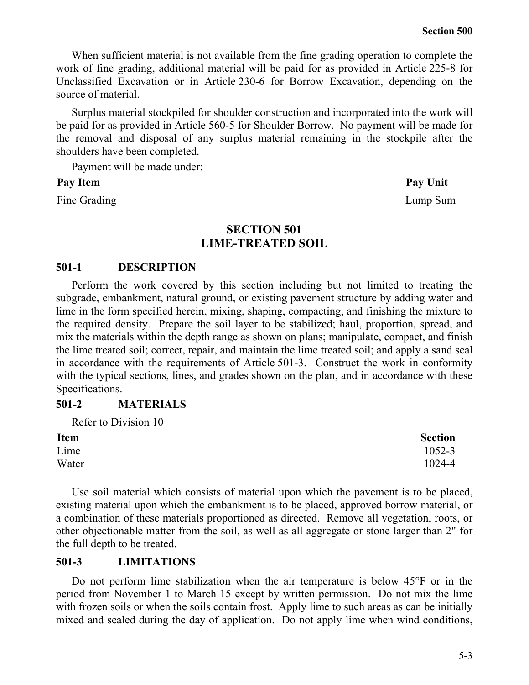When sufficient material is not available from the fine grading operation to complete the work of fine grading, additional material will be paid for as provided in Article 225-8 for Unclassified Excavation or in Article 230-6 for Borrow Excavation, depending on the source of material.

Surplus material stockpiled for shoulder construction and incorporated into the work will be paid for as provided in Article 560-5 for Shoulder Borrow. No payment will be made for the removal and disposal of any surplus material remaining in the stockpile after the shoulders have been completed.

Payment will be made under:

## **Pay Item Pay Unit**

Fine Grading Lump Sum

**SECTION 501 LIME-TREATED SOIL**

## **501-1 DESCRIPTION**

Perform the work covered by this section including but not limited to treating the subgrade, embankment, natural ground, or existing pavement structure by adding water and lime in the form specified herein, mixing, shaping, compacting, and finishing the mixture to the required density. Prepare the soil layer to be stabilized; haul, proportion, spread, and mix the materials within the depth range as shown on plans; manipulate, compact, and finish the lime treated soil; correct, repair, and maintain the lime treated soil; and apply a sand seal in accordance with the requirements of Article 501-3. Construct the work in conformity with the typical sections, lines, and grades shown on the plan, and in accordance with these Specifications.

## **501-2 MATERIALS**

| Refer to Division 10 |                |
|----------------------|----------------|
| <b>Item</b>          | <b>Section</b> |
| Lime                 | 1052-3         |
| Water                | 1024-4         |

Use soil material which consists of material upon which the pavement is to be placed, existing material upon which the embankment is to be placed, approved borrow material, or a combination of these materials proportioned as directed. Remove all vegetation, roots, or other objectionable matter from the soil, as well as all aggregate or stone larger than 2" for the full depth to be treated.

## **501-3 LIMITATIONS**

Do not perform lime stabilization when the air temperature is below 45°F or in the period from November 1 to March 15 except by written permission. Do not mix the lime with frozen soils or when the soils contain frost. Apply lime to such areas as can be initially mixed and sealed during the day of application. Do not apply lime when wind conditions,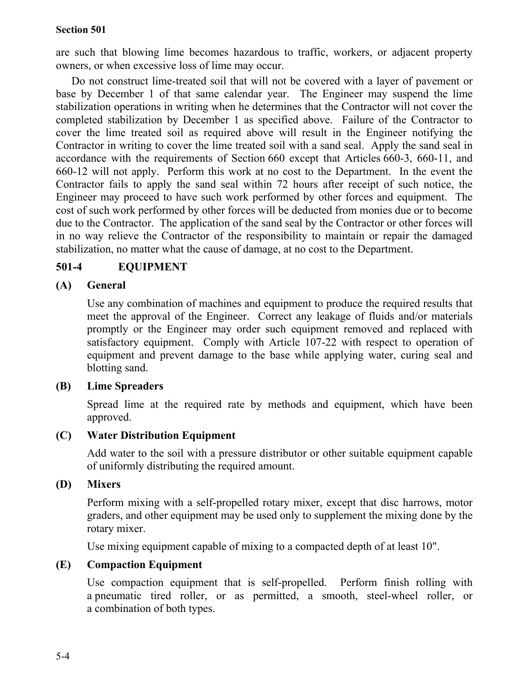are such that blowing lime becomes hazardous to traffic, workers, or adjacent property owners, or when excessive loss of lime may occur.

Do not construct lime-treated soil that will not be covered with a layer of pavement or base by December 1 of that same calendar year. The Engineer may suspend the lime stabilization operations in writing when he determines that the Contractor will not cover the completed stabilization by December 1 as specified above. Failure of the Contractor to cover the lime treated soil as required above will result in the Engineer notifying the Contractor in writing to cover the lime treated soil with a sand seal. Apply the sand seal in accordance with the requirements of Section 660 except that Articles 660-3, 660-11, and 660-12 will not apply. Perform this work at no cost to the Department. In the event the Contractor fails to apply the sand seal within 72 hours after receipt of such notice, the Engineer may proceed to have such work performed by other forces and equipment. The cost of such work performed by other forces will be deducted from monies due or to become due to the Contractor. The application of the sand seal by the Contractor or other forces will in no way relieve the Contractor of the responsibility to maintain or repair the damaged stabilization, no matter what the cause of damage, at no cost to the Department.

# **501-4 EQUIPMENT**

# **(A) General**

Use any combination of machines and equipment to produce the required results that meet the approval of the Engineer. Correct any leakage of fluids and/or materials promptly or the Engineer may order such equipment removed and replaced with satisfactory equipment. Comply with Article 107-22 with respect to operation of equipment and prevent damage to the base while applying water, curing seal and blotting sand.

## **(B) Lime Spreaders**

Spread lime at the required rate by methods and equipment, which have been approved.

# **(C) Water Distribution Equipment**

Add water to the soil with a pressure distributor or other suitable equipment capable of uniformly distributing the required amount.

## **(D) Mixers**

Perform mixing with a self-propelled rotary mixer, except that disc harrows, motor graders, and other equipment may be used only to supplement the mixing done by the rotary mixer.

Use mixing equipment capable of mixing to a compacted depth of at least 10".

# **(E) Compaction Equipment**

Use compaction equipment that is self-propelled. Perform finish rolling with a pneumatic tired roller, or as permitted, a smooth, steel-wheel roller, or a combination of both types.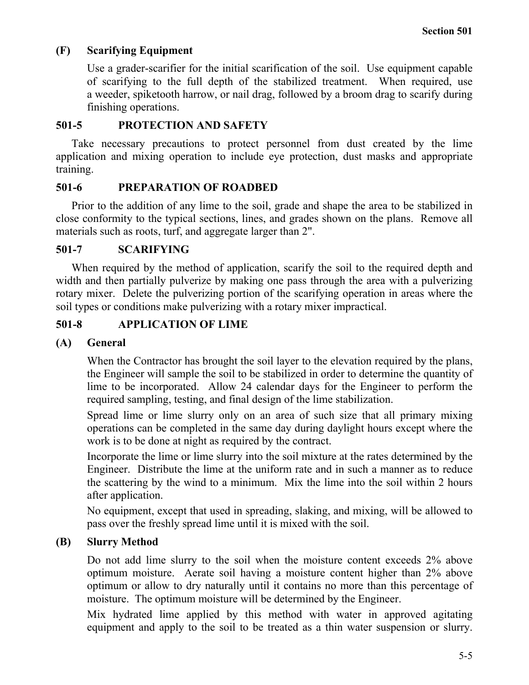# **(F) Scarifying Equipment**

Use a grader-scarifier for the initial scarification of the soil. Use equipment capable of scarifying to the full depth of the stabilized treatment. When required, use a weeder, spiketooth harrow, or nail drag, followed by a broom drag to scarify during finishing operations.

## **501-5 PROTECTION AND SAFETY**

Take necessary precautions to protect personnel from dust created by the lime application and mixing operation to include eye protection, dust masks and appropriate training.

## **501-6 PREPARATION OF ROADBED**

Prior to the addition of any lime to the soil, grade and shape the area to be stabilized in close conformity to the typical sections, lines, and grades shown on the plans. Remove all materials such as roots, turf, and aggregate larger than 2".

# **501-7 SCARIFYING**

When required by the method of application, scarify the soil to the required depth and width and then partially pulverize by making one pass through the area with a pulverizing rotary mixer. Delete the pulverizing portion of the scarifying operation in areas where the soil types or conditions make pulverizing with a rotary mixer impractical.

# **501-8 APPLICATION OF LIME**

## **(A) General**

When the Contractor has brought the soil layer to the elevation required by the plans, the Engineer will sample the soil to be stabilized in order to determine the quantity of lime to be incorporated. Allow 24 calendar days for the Engineer to perform the required sampling, testing, and final design of the lime stabilization.

Spread lime or lime slurry only on an area of such size that all primary mixing operations can be completed in the same day during daylight hours except where the work is to be done at night as required by the contract.

Incorporate the lime or lime slurry into the soil mixture at the rates determined by the Engineer. Distribute the lime at the uniform rate and in such a manner as to reduce the scattering by the wind to a minimum. Mix the lime into the soil within 2 hours after application.

No equipment, except that used in spreading, slaking, and mixing, will be allowed to pass over the freshly spread lime until it is mixed with the soil.

# **(B) Slurry Method**

Do not add lime slurry to the soil when the moisture content exceeds 2% above optimum moisture. Aerate soil having a moisture content higher than 2% above optimum or allow to dry naturally until it contains no more than this percentage of moisture. The optimum moisture will be determined by the Engineer.

Mix hydrated lime applied by this method with water in approved agitating equipment and apply to the soil to be treated as a thin water suspension or slurry.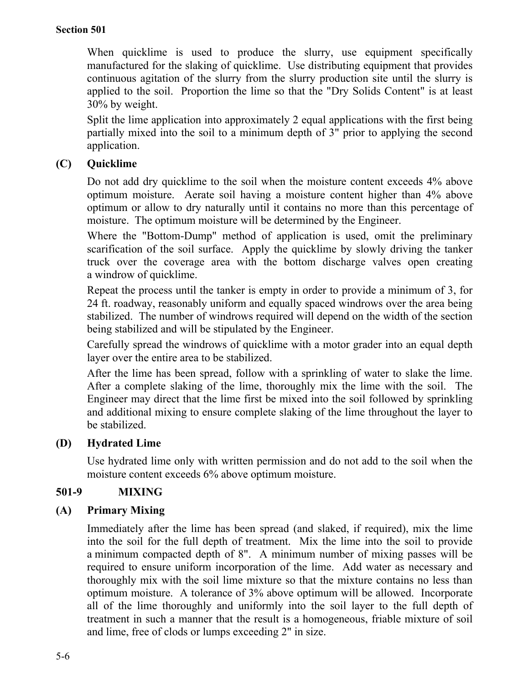When quicklime is used to produce the slurry, use equipment specifically manufactured for the slaking of quicklime. Use distributing equipment that provides continuous agitation of the slurry from the slurry production site until the slurry is applied to the soil. Proportion the lime so that the "Dry Solids Content" is at least 30% by weight.

Split the lime application into approximately 2 equal applications with the first being partially mixed into the soil to a minimum depth of 3" prior to applying the second application.

# **(C) Quicklime**

Do not add dry quicklime to the soil when the moisture content exceeds 4% above optimum moisture. Aerate soil having a moisture content higher than 4% above optimum or allow to dry naturally until it contains no more than this percentage of moisture. The optimum moisture will be determined by the Engineer.

Where the "Bottom-Dump" method of application is used, omit the preliminary scarification of the soil surface. Apply the quicklime by slowly driving the tanker truck over the coverage area with the bottom discharge valves open creating a windrow of quicklime.

Repeat the process until the tanker is empty in order to provide a minimum of 3, for 24 ft. roadway, reasonably uniform and equally spaced windrows over the area being stabilized. The number of windrows required will depend on the width of the section being stabilized and will be stipulated by the Engineer.

Carefully spread the windrows of quicklime with a motor grader into an equal depth layer over the entire area to be stabilized.

After the lime has been spread, follow with a sprinkling of water to slake the lime. After a complete slaking of the lime, thoroughly mix the lime with the soil. The Engineer may direct that the lime first be mixed into the soil followed by sprinkling and additional mixing to ensure complete slaking of the lime throughout the layer to be stabilized.

## **(D) Hydrated Lime**

Use hydrated lime only with written permission and do not add to the soil when the moisture content exceeds 6% above optimum moisture.

## **501-9 MIXING**

# **(A) Primary Mixing**

Immediately after the lime has been spread (and slaked, if required), mix the lime into the soil for the full depth of treatment. Mix the lime into the soil to provide a minimum compacted depth of 8". A minimum number of mixing passes will be required to ensure uniform incorporation of the lime. Add water as necessary and thoroughly mix with the soil lime mixture so that the mixture contains no less than optimum moisture. A tolerance of 3% above optimum will be allowed. Incorporate all of the lime thoroughly and uniformly into the soil layer to the full depth of treatment in such a manner that the result is a homogeneous, friable mixture of soil and lime, free of clods or lumps exceeding 2" in size.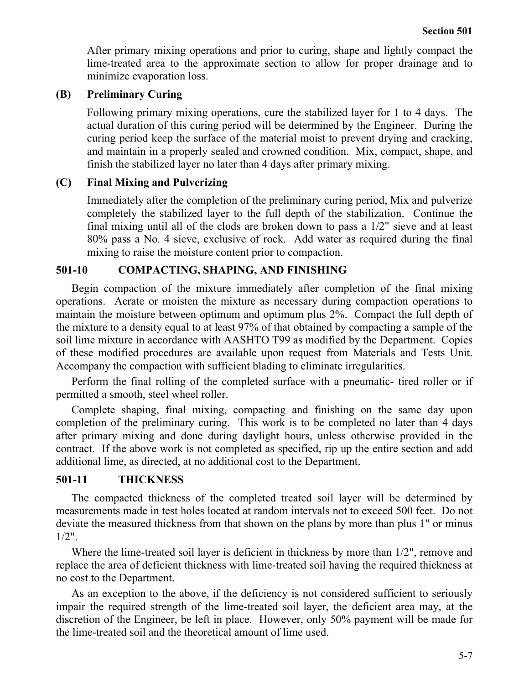After primary mixing operations and prior to curing, shape and lightly compact the lime-treated area to the approximate section to allow for proper drainage and to minimize evaporation loss.

## **(B) Preliminary Curing**

Following primary mixing operations, cure the stabilized layer for 1 to 4 days. The actual duration of this curing period will be determined by the Engineer. During the curing period keep the surface of the material moist to prevent drying and cracking, and maintain in a properly sealed and crowned condition. Mix, compact, shape, and finish the stabilized layer no later than 4 days after primary mixing.

## **(C) Final Mixing and Pulverizing**

Immediately after the completion of the preliminary curing period, Mix and pulverize completely the stabilized layer to the full depth of the stabilization. Continue the final mixing until all of the clods are broken down to pass a 1/2" sieve and at least 80% pass a No. 4 sieve, exclusive of rock. Add water as required during the final mixing to raise the moisture content prior to compaction.

## **501-10 COMPACTING, SHAPING, AND FINISHING**

Begin compaction of the mixture immediately after completion of the final mixing operations. Aerate or moisten the mixture as necessary during compaction operations to maintain the moisture between optimum and optimum plus 2%. Compact the full depth of the mixture to a density equal to at least 97% of that obtained by compacting a sample of the soil lime mixture in accordance with AASHTO T99 as modified by the Department. Copies of these modified procedures are available upon request from Materials and Tests Unit. Accompany the compaction with sufficient blading to eliminate irregularities.

Perform the final rolling of the completed surface with a pneumatic- tired roller or if permitted a smooth, steel wheel roller.

Complete shaping, final mixing, compacting and finishing on the same day upon completion of the preliminary curing. This work is to be completed no later than 4 days after primary mixing and done during daylight hours, unless otherwise provided in the contract. If the above work is not completed as specified, rip up the entire section and add additional lime, as directed, at no additional cost to the Department.

## **501-11 THICKNESS**

The compacted thickness of the completed treated soil layer will be determined by measurements made in test holes located at random intervals not to exceed 500 feet. Do not deviate the measured thickness from that shown on the plans by more than plus 1" or minus  $1/2"$ .

Where the lime-treated soil layer is deficient in thickness by more than 1/2", remove and replace the area of deficient thickness with lime-treated soil having the required thickness at no cost to the Department.

As an exception to the above, if the deficiency is not considered sufficient to seriously impair the required strength of the lime-treated soil layer, the deficient area may, at the discretion of the Engineer, be left in place. However, only 50% payment will be made for the lime-treated soil and the theoretical amount of lime used.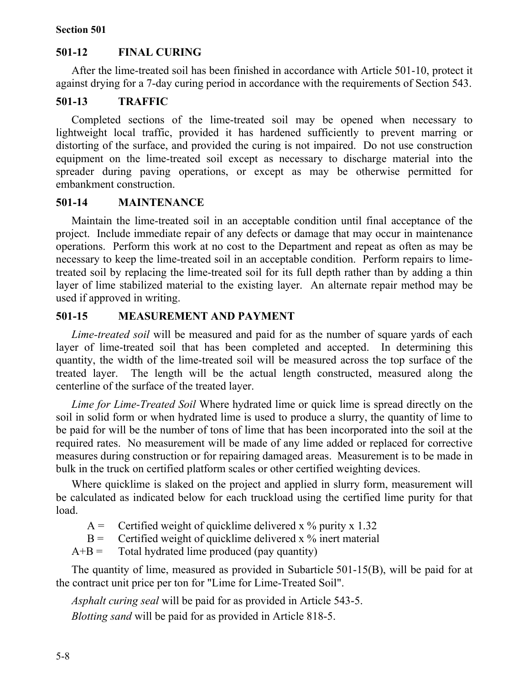## **501-12 FINAL CURING**

After the lime-treated soil has been finished in accordance with Article 501-10, protect it against drying for a 7-day curing period in accordance with the requirements of Section 543.

## **501-13 TRAFFIC**

Completed sections of the lime-treated soil may be opened when necessary to lightweight local traffic, provided it has hardened sufficiently to prevent marring or distorting of the surface, and provided the curing is not impaired. Do not use construction equipment on the lime-treated soil except as necessary to discharge material into the spreader during paving operations, or except as may be otherwise permitted for embankment construction.

### **501-14 MAINTENANCE**

Maintain the lime-treated soil in an acceptable condition until final acceptance of the project. Include immediate repair of any defects or damage that may occur in maintenance operations. Perform this work at no cost to the Department and repeat as often as may be necessary to keep the lime-treated soil in an acceptable condition. Perform repairs to limetreated soil by replacing the lime-treated soil for its full depth rather than by adding a thin layer of lime stabilized material to the existing layer. An alternate repair method may be used if approved in writing.

### **501-15 MEASUREMENT AND PAYMENT**

*Lime-treated soil* will be measured and paid for as the number of square yards of each layer of lime-treated soil that has been completed and accepted. In determining this quantity, the width of the lime-treated soil will be measured across the top surface of the treated layer. The length will be the actual length constructed, measured along the centerline of the surface of the treated layer.

*Lime for Lime-Treated Soil* Where hydrated lime or quick lime is spread directly on the soil in solid form or when hydrated lime is used to produce a slurry, the quantity of lime to be paid for will be the number of tons of lime that has been incorporated into the soil at the required rates. No measurement will be made of any lime added or replaced for corrective measures during construction or for repairing damaged areas. Measurement is to be made in bulk in the truck on certified platform scales or other certified weighting devices.

Where quicklime is slaked on the project and applied in slurry form, measurement will be calculated as indicated below for each truckload using the certified lime purity for that load.

- $A =$  Certified weight of quicklime delivered x % purity x 1.32
- $B =$  Certified weight of quicklime delivered x % inert material
- $A+B =$  Total hydrated lime produced (pay quantity)

The quantity of lime, measured as provided in Subarticle 501-15(B), will be paid for at the contract unit price per ton for "Lime for Lime-Treated Soil".

*Asphalt curing seal* will be paid for as provided in Article 543-5. *Blotting sand* will be paid for as provided in Article 818-5.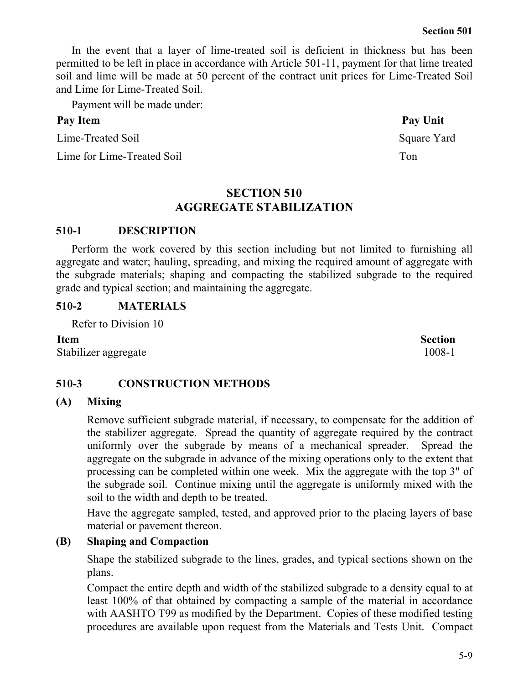5-9

In the event that a layer of lime-treated soil is deficient in thickness but has been permitted to be left in place in accordance with Article 501-11, payment for that lime treated soil and lime will be made at 50 percent of the contract unit prices for Lime-Treated Soil and Lime for Lime-Treated Soil.

Payment will be made under:

## Pay Item Pay Unit

Lime-Treated Soil Square Yard

Lime for Lime-Treated Soil Ton

# **SECTION 510 AGGREGATE STABILIZATION**

# **510-1 DESCRIPTION**

Perform the work covered by this section including but not limited to furnishing all aggregate and water; hauling, spreading, and mixing the required amount of aggregate with the subgrade materials; shaping and compacting the stabilized subgrade to the required grade and typical section; and maintaining the aggregate.

# **510-2 MATERIALS**

Refer to Division 10

**Item Section** Stabilizer aggregate 1008-1

# **510-3 CONSTRUCTION METHODS**

# **(A) Mixing**

Remove sufficient subgrade material, if necessary, to compensate for the addition of the stabilizer aggregate. Spread the quantity of aggregate required by the contract uniformly over the subgrade by means of a mechanical spreader. Spread the aggregate on the subgrade in advance of the mixing operations only to the extent that processing can be completed within one week. Mix the aggregate with the top 3" of the subgrade soil. Continue mixing until the aggregate is uniformly mixed with the soil to the width and depth to be treated.

Have the aggregate sampled, tested, and approved prior to the placing layers of base material or pavement thereon.

# **(B) Shaping and Compaction**

Shape the stabilized subgrade to the lines, grades, and typical sections shown on the plans.

Compact the entire depth and width of the stabilized subgrade to a density equal to at least 100% of that obtained by compacting a sample of the material in accordance with AASHTO T99 as modified by the Department. Copies of these modified testing procedures are available upon request from the Materials and Tests Unit. Compact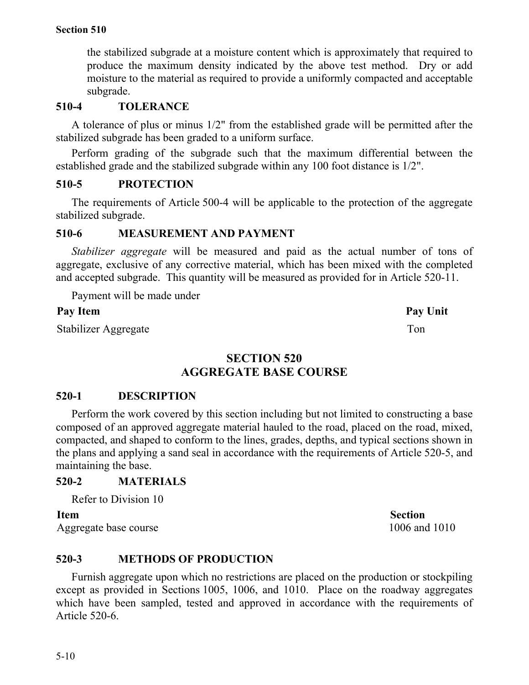the stabilized subgrade at a moisture content which is approximately that required to produce the maximum density indicated by the above test method. Dry or add moisture to the material as required to provide a uniformly compacted and acceptable subgrade.

## **510-4 TOLERANCE**

A tolerance of plus or minus 1/2" from the established grade will be permitted after the stabilized subgrade has been graded to a uniform surface.

Perform grading of the subgrade such that the maximum differential between the established grade and the stabilized subgrade within any 100 foot distance is 1/2".

## **510-5 PROTECTION**

The requirements of Article 500-4 will be applicable to the protection of the aggregate stabilized subgrade.

## **510-6 MEASUREMENT AND PAYMENT**

*Stabilizer aggregate* will be measured and paid as the actual number of tons of aggregate, exclusive of any corrective material, which has been mixed with the completed and accepted subgrade. This quantity will be measured as provided for in Article 520-11.

Payment will be made under

## Pay Item **Pay Unit**

Stabilizer Aggregate Ton

**SECTION 520 AGGREGATE BASE COURSE**

## **520-1 DESCRIPTION**

Perform the work covered by this section including but not limited to constructing a base composed of an approved aggregate material hauled to the road, placed on the road, mixed, compacted, and shaped to conform to the lines, grades, depths, and typical sections shown in the plans and applying a sand seal in accordance with the requirements of Article 520-5, and maintaining the base.

## **520-2 MATERIALS**

Refer to Division 10

Aggregate base course 1006 and 1010

## **520-3 METHODS OF PRODUCTION**

Furnish aggregate upon which no restrictions are placed on the production or stockpiling except as provided in Sections 1005, 1006, and 1010. Place on the roadway aggregates which have been sampled, tested and approved in accordance with the requirements of Article 520-6.

**Item Section**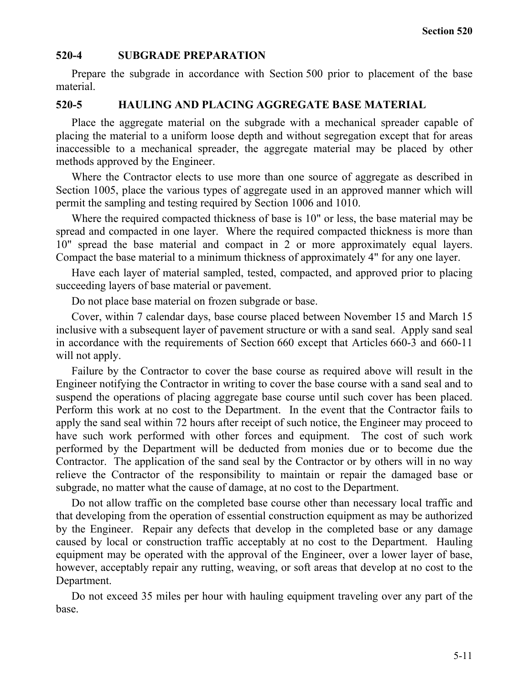### **520-4 SUBGRADE PREPARATION**

Prepare the subgrade in accordance with Section 500 prior to placement of the base material.

## **520-5 HAULING AND PLACING AGGREGATE BASE MATERIAL**

Place the aggregate material on the subgrade with a mechanical spreader capable of placing the material to a uniform loose depth and without segregation except that for areas inaccessible to a mechanical spreader, the aggregate material may be placed by other methods approved by the Engineer.

Where the Contractor elects to use more than one source of aggregate as described in Section 1005, place the various types of aggregate used in an approved manner which will permit the sampling and testing required by Section 1006 and 1010.

Where the required compacted thickness of base is 10" or less, the base material may be spread and compacted in one layer. Where the required compacted thickness is more than 10" spread the base material and compact in 2 or more approximately equal layers. Compact the base material to a minimum thickness of approximately 4" for any one layer.

Have each layer of material sampled, tested, compacted, and approved prior to placing succeeding layers of base material or pavement.

Do not place base material on frozen subgrade or base.

Cover, within 7 calendar days, base course placed between November 15 and March 15 inclusive with a subsequent layer of pavement structure or with a sand seal. Apply sand seal in accordance with the requirements of Section 660 except that Articles 660-3 and 660-11 will not apply.

Failure by the Contractor to cover the base course as required above will result in the Engineer notifying the Contractor in writing to cover the base course with a sand seal and to suspend the operations of placing aggregate base course until such cover has been placed. Perform this work at no cost to the Department. In the event that the Contractor fails to apply the sand seal within 72 hours after receipt of such notice, the Engineer may proceed to have such work performed with other forces and equipment. The cost of such work performed by the Department will be deducted from monies due or to become due the Contractor. The application of the sand seal by the Contractor or by others will in no way relieve the Contractor of the responsibility to maintain or repair the damaged base or subgrade, no matter what the cause of damage, at no cost to the Department.

Do not allow traffic on the completed base course other than necessary local traffic and that developing from the operation of essential construction equipment as may be authorized by the Engineer. Repair any defects that develop in the completed base or any damage caused by local or construction traffic acceptably at no cost to the Department. Hauling equipment may be operated with the approval of the Engineer, over a lower layer of base, however, acceptably repair any rutting, weaving, or soft areas that develop at no cost to the Department.

Do not exceed 35 miles per hour with hauling equipment traveling over any part of the base.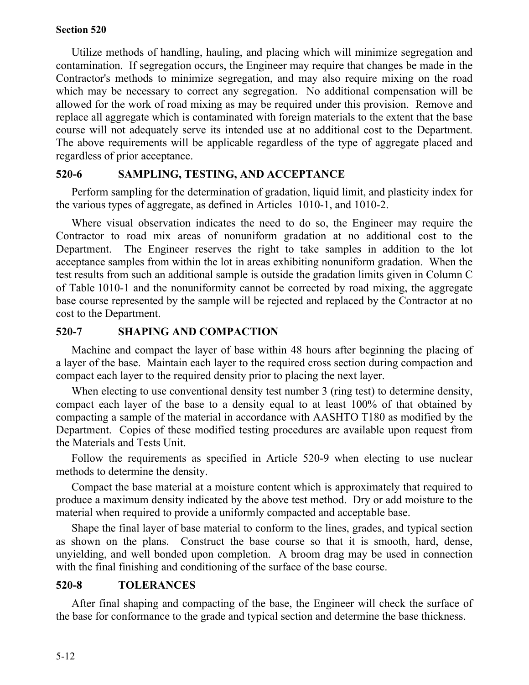Utilize methods of handling, hauling, and placing which will minimize segregation and contamination. If segregation occurs, the Engineer may require that changes be made in the Contractor's methods to minimize segregation, and may also require mixing on the road which may be necessary to correct any segregation. No additional compensation will be allowed for the work of road mixing as may be required under this provision. Remove and replace all aggregate which is contaminated with foreign materials to the extent that the base course will not adequately serve its intended use at no additional cost to the Department. The above requirements will be applicable regardless of the type of aggregate placed and regardless of prior acceptance.

## **520-6 SAMPLING, TESTING, AND ACCEPTANCE**

Perform sampling for the determination of gradation, liquid limit, and plasticity index for the various types of aggregate, as defined in Articles 1010-1, and 1010-2.

Where visual observation indicates the need to do so, the Engineer may require the Contractor to road mix areas of nonuniform gradation at no additional cost to the Department. The Engineer reserves the right to take samples in addition to the lot acceptance samples from within the lot in areas exhibiting nonuniform gradation. When the test results from such an additional sample is outside the gradation limits given in Column C of Table 1010-1 and the nonuniformity cannot be corrected by road mixing, the aggregate base course represented by the sample will be rejected and replaced by the Contractor at no cost to the Department.

## **520-7 SHAPING AND COMPACTION**

Machine and compact the layer of base within 48 hours after beginning the placing of a layer of the base. Maintain each layer to the required cross section during compaction and compact each layer to the required density prior to placing the next layer.

When electing to use conventional density test number 3 (ring test) to determine density, compact each layer of the base to a density equal to at least 100% of that obtained by compacting a sample of the material in accordance with AASHTO T180 as modified by the Department. Copies of these modified testing procedures are available upon request from the Materials and Tests Unit.

Follow the requirements as specified in Article 520-9 when electing to use nuclear methods to determine the density.

Compact the base material at a moisture content which is approximately that required to produce a maximum density indicated by the above test method. Dry or add moisture to the material when required to provide a uniformly compacted and acceptable base.

Shape the final layer of base material to conform to the lines, grades, and typical section as shown on the plans. Construct the base course so that it is smooth, hard, dense, unyielding, and well bonded upon completion. A broom drag may be used in connection with the final finishing and conditioning of the surface of the base course.

## **520-8 TOLERANCES**

After final shaping and compacting of the base, the Engineer will check the surface of the base for conformance to the grade and typical section and determine the base thickness.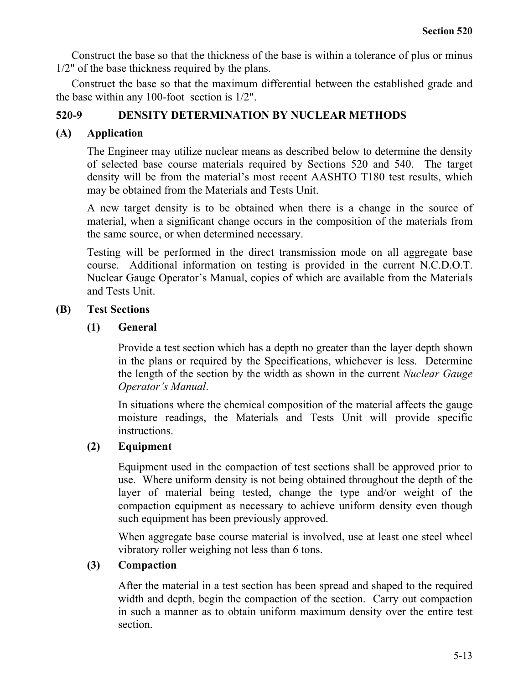Construct the base so that the thickness of the base is within a tolerance of plus or minus 1/2" of the base thickness required by the plans.

Construct the base so that the maximum differential between the established grade and the base within any 100-foot section is 1/2".

# **520-9 DENSITY DETERMINATION BY NUCLEAR METHODS**

# **(A) Application**

The Engineer may utilize nuclear means as described below to determine the density of selected base course materials required by Sections 520 and 540. The target density will be from the material's most recent AASHTO T180 test results, which may be obtained from the Materials and Tests Unit.

A new target density is to be obtained when there is a change in the source of material, when a significant change occurs in the composition of the materials from the same source, or when determined necessary.

Testing will be performed in the direct transmission mode on all aggregate base course. Additional information on testing is provided in the current N.C.D.O.T. Nuclear Gauge Operator's Manual, copies of which are available from the Materials and Tests Unit.

## **(B) Test Sections**

## **(1) General**

Provide a test section which has a depth no greater than the layer depth shown in the plans or required by the Specifications, whichever is less. Determine the length of the section by the width as shown in the current *Nuclear Gauge Operator's Manual*.

In situations where the chemical composition of the material affects the gauge moisture readings, the Materials and Tests Unit will provide specific instructions.

# **(2) Equipment**

Equipment used in the compaction of test sections shall be approved prior to use. Where uniform density is not being obtained throughout the depth of the layer of material being tested, change the type and/or weight of the compaction equipment as necessary to achieve uniform density even though such equipment has been previously approved.

When aggregate base course material is involved, use at least one steel wheel vibratory roller weighing not less than 6 tons.

## **(3) Compaction**

After the material in a test section has been spread and shaped to the required width and depth, begin the compaction of the section. Carry out compaction in such a manner as to obtain uniform maximum density over the entire test section.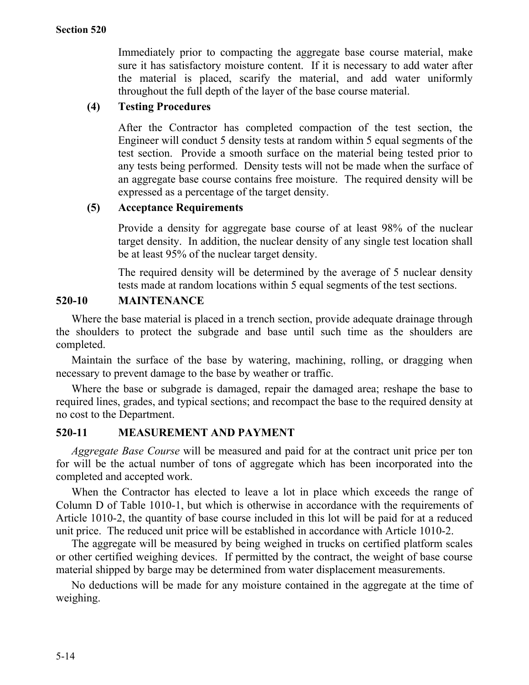Immediately prior to compacting the aggregate base course material, make sure it has satisfactory moisture content. If it is necessary to add water after the material is placed, scarify the material, and add water uniformly throughout the full depth of the layer of the base course material.

# **(4) Testing Procedures**

After the Contractor has completed compaction of the test section, the Engineer will conduct 5 density tests at random within 5 equal segments of the test section. Provide a smooth surface on the material being tested prior to any tests being performed. Density tests will not be made when the surface of an aggregate base course contains free moisture. The required density will be expressed as a percentage of the target density.

## **(5) Acceptance Requirements**

Provide a density for aggregate base course of at least 98% of the nuclear target density. In addition, the nuclear density of any single test location shall be at least 95% of the nuclear target density.

The required density will be determined by the average of 5 nuclear density tests made at random locations within 5 equal segments of the test sections.

# **520-10 MAINTENANCE**

Where the base material is placed in a trench section, provide adequate drainage through the shoulders to protect the subgrade and base until such time as the shoulders are completed.

Maintain the surface of the base by watering, machining, rolling, or dragging when necessary to prevent damage to the base by weather or traffic.

Where the base or subgrade is damaged, repair the damaged area; reshape the base to required lines, grades, and typical sections; and recompact the base to the required density at no cost to the Department.

## **520-11 MEASUREMENT AND PAYMENT**

*Aggregate Base Course* will be measured and paid for at the contract unit price per ton for will be the actual number of tons of aggregate which has been incorporated into the completed and accepted work.

When the Contractor has elected to leave a lot in place which exceeds the range of Column D of Table 1010-1, but which is otherwise in accordance with the requirements of Article 1010-2, the quantity of base course included in this lot will be paid for at a reduced unit price. The reduced unit price will be established in accordance with Article 1010-2.

The aggregate will be measured by being weighed in trucks on certified platform scales or other certified weighing devices. If permitted by the contract, the weight of base course material shipped by barge may be determined from water displacement measurements.

No deductions will be made for any moisture contained in the aggregate at the time of weighing.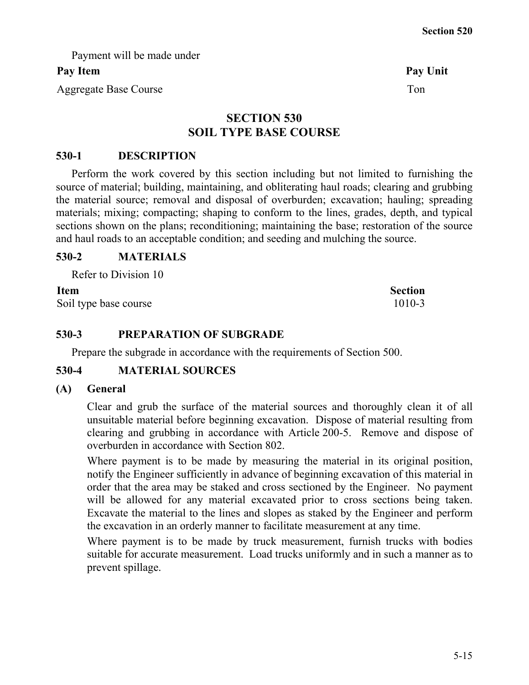Payment will be made under

# Pay Item Pay Unit

Aggregate Base Course Ton

# **SECTION 530 SOIL TYPE BASE COURSE**

# **530-1 DESCRIPTION**

Perform the work covered by this section including but not limited to furnishing the source of material; building, maintaining, and obliterating haul roads; clearing and grubbing the material source; removal and disposal of overburden; excavation; hauling; spreading materials; mixing; compacting; shaping to conform to the lines, grades, depth, and typical sections shown on the plans; reconditioning; maintaining the base; restoration of the source and haul roads to an acceptable condition; and seeding and mulching the source.

# **530-2 MATERIALS**

Refer to Division 10

## **Item Section**

Soil type base course 1010-3

# **530-3 PREPARATION OF SUBGRADE**

Prepare the subgrade in accordance with the requirements of Section 500.

# **530-4 MATERIAL SOURCES**

## **(A) General**

Clear and grub the surface of the material sources and thoroughly clean it of all unsuitable material before beginning excavation. Dispose of material resulting from clearing and grubbing in accordance with Article 200-5. Remove and dispose of overburden in accordance with Section 802.

Where payment is to be made by measuring the material in its original position, notify the Engineer sufficiently in advance of beginning excavation of this material in order that the area may be staked and cross sectioned by the Engineer. No payment will be allowed for any material excavated prior to cross sections being taken. Excavate the material to the lines and slopes as staked by the Engineer and perform the excavation in an orderly manner to facilitate measurement at any time.

Where payment is to be made by truck measurement, furnish trucks with bodies suitable for accurate measurement. Load trucks uniformly and in such a manner as to prevent spillage.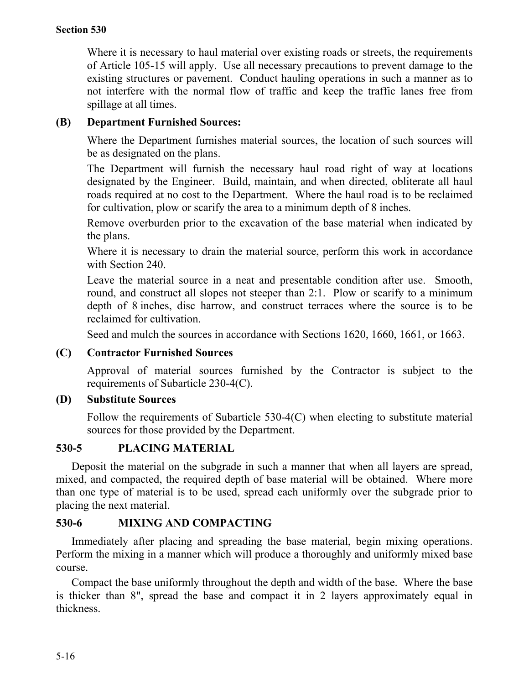Where it is necessary to haul material over existing roads or streets, the requirements of Article 105-15 will apply. Use all necessary precautions to prevent damage to the existing structures or pavement. Conduct hauling operations in such a manner as to not interfere with the normal flow of traffic and keep the traffic lanes free from spillage at all times.

# **(B) Department Furnished Sources:**

Where the Department furnishes material sources, the location of such sources will be as designated on the plans.

The Department will furnish the necessary haul road right of way at locations designated by the Engineer. Build, maintain, and when directed, obliterate all haul roads required at no cost to the Department. Where the haul road is to be reclaimed for cultivation, plow or scarify the area to a minimum depth of 8 inches.

Remove overburden prior to the excavation of the base material when indicated by the plans.

Where it is necessary to drain the material source, perform this work in accordance with Section 240.

Leave the material source in a neat and presentable condition after use. Smooth, round, and construct all slopes not steeper than 2:1. Plow or scarify to a minimum depth of 8 inches, disc harrow, and construct terraces where the source is to be reclaimed for cultivation.

Seed and mulch the sources in accordance with Sections 1620, 1660, 1661, or 1663.

# **(C) Contractor Furnished Sources**

Approval of material sources furnished by the Contractor is subject to the requirements of Subarticle 230-4(C).

## **(D) Substitute Sources**

Follow the requirements of Subarticle 530-4(C) when electing to substitute material sources for those provided by the Department.

## **530-5 PLACING MATERIAL**

Deposit the material on the subgrade in such a manner that when all layers are spread, mixed, and compacted, the required depth of base material will be obtained. Where more than one type of material is to be used, spread each uniformly over the subgrade prior to placing the next material.

# **530-6 MIXING AND COMPACTING**

Immediately after placing and spreading the base material, begin mixing operations. Perform the mixing in a manner which will produce a thoroughly and uniformly mixed base course.

Compact the base uniformly throughout the depth and width of the base. Where the base is thicker than 8", spread the base and compact it in 2 layers approximately equal in thickness.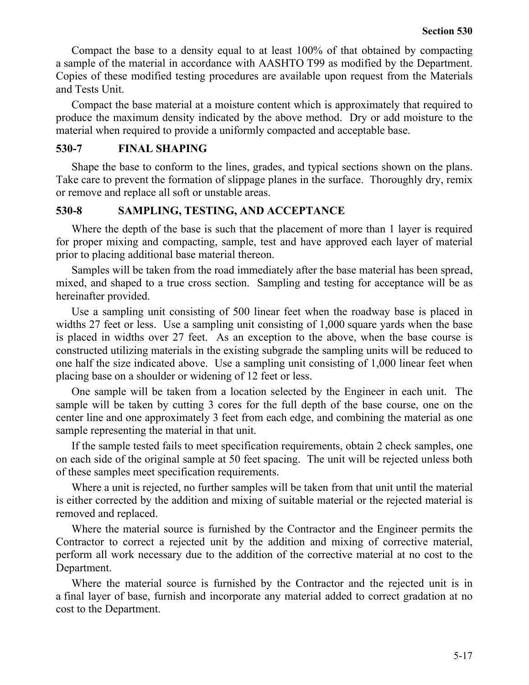Compact the base to a density equal to at least 100% of that obtained by compacting a sample of the material in accordance with AASHTO T99 as modified by the Department. Copies of these modified testing procedures are available upon request from the Materials and Tests Unit.

Compact the base material at a moisture content which is approximately that required to produce the maximum density indicated by the above method. Dry or add moisture to the material when required to provide a uniformly compacted and acceptable base.

### **530-7 FINAL SHAPING**

Shape the base to conform to the lines, grades, and typical sections shown on the plans. Take care to prevent the formation of slippage planes in the surface. Thoroughly dry, remix or remove and replace all soft or unstable areas.

## **530-8 SAMPLING, TESTING, AND ACCEPTANCE**

Where the depth of the base is such that the placement of more than 1 layer is required for proper mixing and compacting, sample, test and have approved each layer of material prior to placing additional base material thereon.

Samples will be taken from the road immediately after the base material has been spread, mixed, and shaped to a true cross section. Sampling and testing for acceptance will be as hereinafter provided.

Use a sampling unit consisting of 500 linear feet when the roadway base is placed in widths 27 feet or less. Use a sampling unit consisting of 1,000 square yards when the base is placed in widths over 27 feet. As an exception to the above, when the base course is constructed utilizing materials in the existing subgrade the sampling units will be reduced to one half the size indicated above. Use a sampling unit consisting of 1,000 linear feet when placing base on a shoulder or widening of 12 feet or less.

One sample will be taken from a location selected by the Engineer in each unit. The sample will be taken by cutting 3 cores for the full depth of the base course, one on the center line and one approximately 3 feet from each edge, and combining the material as one sample representing the material in that unit.

If the sample tested fails to meet specification requirements, obtain 2 check samples, one on each side of the original sample at 50 feet spacing. The unit will be rejected unless both of these samples meet specification requirements.

Where a unit is rejected, no further samples will be taken from that unit until the material is either corrected by the addition and mixing of suitable material or the rejected material is removed and replaced.

Where the material source is furnished by the Contractor and the Engineer permits the Contractor to correct a rejected unit by the addition and mixing of corrective material, perform all work necessary due to the addition of the corrective material at no cost to the Department.

Where the material source is furnished by the Contractor and the rejected unit is in a final layer of base, furnish and incorporate any material added to correct gradation at no cost to the Department.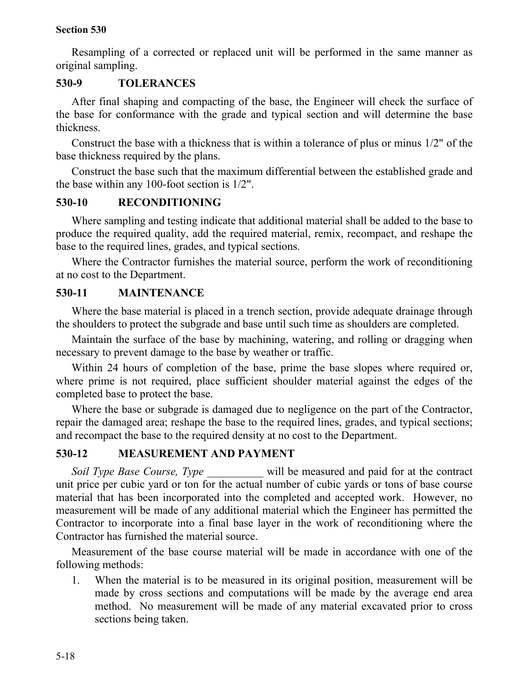Resampling of a corrected or replaced unit will be performed in the same manner as original sampling.

# **530-9 TOLERANCES**

After final shaping and compacting of the base, the Engineer will check the surface of the base for conformance with the grade and typical section and will determine the base thickness.

Construct the base with a thickness that is within a tolerance of plus or minus 1/2" of the base thickness required by the plans.

Construct the base such that the maximum differential between the established grade and the base within any 100-foot section is 1/2".

## **530-10 RECONDITIONING**

Where sampling and testing indicate that additional material shall be added to the base to produce the required quality, add the required material, remix, recompact, and reshape the base to the required lines, grades, and typical sections.

Where the Contractor furnishes the material source, perform the work of reconditioning at no cost to the Department.

# **530-11 MAINTENANCE**

Where the base material is placed in a trench section, provide adequate drainage through the shoulders to protect the subgrade and base until such time as shoulders are completed.

Maintain the surface of the base by machining, watering, and rolling or dragging when necessary to prevent damage to the base by weather or traffic.

Within 24 hours of completion of the base, prime the base slopes where required or, where prime is not required, place sufficient shoulder material against the edges of the completed base to protect the base.

Where the base or subgrade is damaged due to negligence on the part of the Contractor, repair the damaged area; reshape the base to the required lines, grades, and typical sections; and recompact the base to the required density at no cost to the Department.

# **530-12 MEASUREMENT AND PAYMENT**

*Soil Type Base Course, Type* will be measured and paid for at the contract unit price per cubic yard or ton for the actual number of cubic yards or tons of base course material that has been incorporated into the completed and accepted work. However, no measurement will be made of any additional material which the Engineer has permitted the Contractor to incorporate into a final base layer in the work of reconditioning where the Contractor has furnished the material source.

Measurement of the base course material will be made in accordance with one of the following methods:

1. When the material is to be measured in its original position, measurement will be made by cross sections and computations will be made by the average end area method. No measurement will be made of any material excavated prior to cross sections being taken.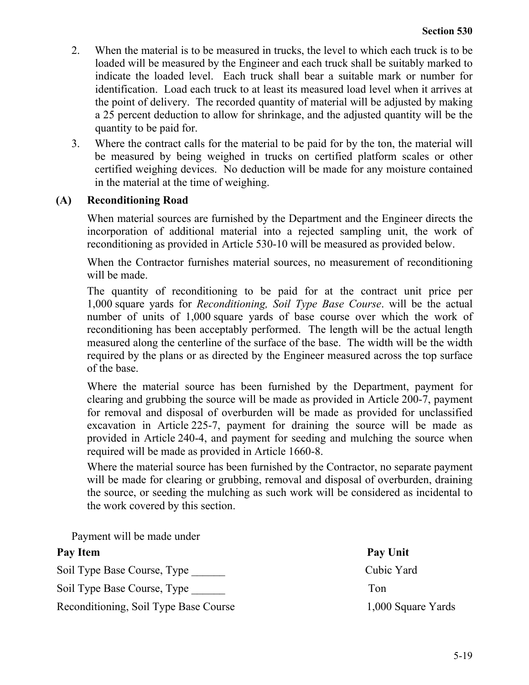- 2. When the material is to be measured in trucks, the level to which each truck is to be loaded will be measured by the Engineer and each truck shall be suitably marked to indicate the loaded level. Each truck shall bear a suitable mark or number for identification. Load each truck to at least its measured load level when it arrives at the point of delivery. The recorded quantity of material will be adjusted by making a 25 percent deduction to allow for shrinkage, and the adjusted quantity will be the quantity to be paid for.
- 3. Where the contract calls for the material to be paid for by the ton, the material will be measured by being weighed in trucks on certified platform scales or other certified weighing devices. No deduction will be made for any moisture contained in the material at the time of weighing.

## **(A) Reconditioning Road**

When material sources are furnished by the Department and the Engineer directs the incorporation of additional material into a rejected sampling unit, the work of reconditioning as provided in Article 530-10 will be measured as provided below.

When the Contractor furnishes material sources, no measurement of reconditioning will be made.

The quantity of reconditioning to be paid for at the contract unit price per 1,000 square yards for *Reconditioning, Soil Type Base Course*. will be the actual number of units of 1,000 square yards of base course over which the work of reconditioning has been acceptably performed. The length will be the actual length measured along the centerline of the surface of the base. The width will be the width required by the plans or as directed by the Engineer measured across the top surface of the base.

Where the material source has been furnished by the Department, payment for clearing and grubbing the source will be made as provided in Article 200-7, payment for removal and disposal of overburden will be made as provided for unclassified excavation in Article 225-7, payment for draining the source will be made as provided in Article 240-4, and payment for seeding and mulching the source when required will be made as provided in Article 1660-8.

Where the material source has been furnished by the Contractor, no separate payment will be made for clearing or grubbing, removal and disposal of overburden, draining the source, or seeding the mulching as such work will be considered as incidental to the work covered by this section.

Payment will be made under

| Pay Item                              | Pay Unit           |
|---------------------------------------|--------------------|
| Soil Type Base Course, Type           | Cubic Yard         |
| Soil Type Base Course, Type           | Ton                |
| Reconditioning, Soil Type Base Course | 1,000 Square Yards |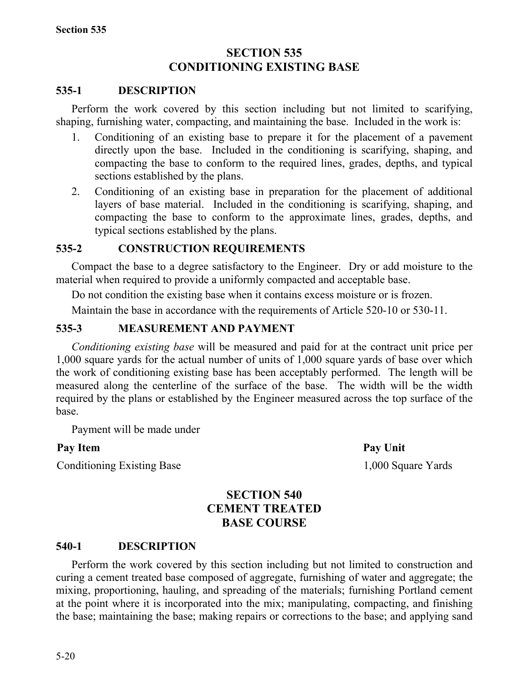# **SECTION 535 CONDITIONING EXISTING BASE**

## **535-1 DESCRIPTION**

Perform the work covered by this section including but not limited to scarifying, shaping, furnishing water, compacting, and maintaining the base. Included in the work is:

- 1. Conditioning of an existing base to prepare it for the placement of a pavement directly upon the base. Included in the conditioning is scarifying, shaping, and compacting the base to conform to the required lines, grades, depths, and typical sections established by the plans.
- 2. Conditioning of an existing base in preparation for the placement of additional layers of base material. Included in the conditioning is scarifying, shaping, and compacting the base to conform to the approximate lines, grades, depths, and typical sections established by the plans.

## **535-2 CONSTRUCTION REQUIREMENTS**

Compact the base to a degree satisfactory to the Engineer. Dry or add moisture to the material when required to provide a uniformly compacted and acceptable base.

Do not condition the existing base when it contains excess moisture or is frozen.

Maintain the base in accordance with the requirements of Article 520-10 or 530-11.

## **535-3 MEASUREMENT AND PAYMENT**

*Conditioning existing base* will be measured and paid for at the contract unit price per 1,000 square yards for the actual number of units of 1,000 square yards of base over which the work of conditioning existing base has been acceptably performed. The length will be measured along the centerline of the surface of the base. The width will be the width required by the plans or established by the Engineer measured across the top surface of the base.

Payment will be made under

## Pay Item Pay Unit

Conditioning Existing Base 1,000 Square Yards

# **SECTION 540 CEMENT TREATED BASE COURSE**

## **540-1 DESCRIPTION**

Perform the work covered by this section including but not limited to construction and curing a cement treated base composed of aggregate, furnishing of water and aggregate; the mixing, proportioning, hauling, and spreading of the materials; furnishing Portland cement at the point where it is incorporated into the mix; manipulating, compacting, and finishing the base; maintaining the base; making repairs or corrections to the base; and applying sand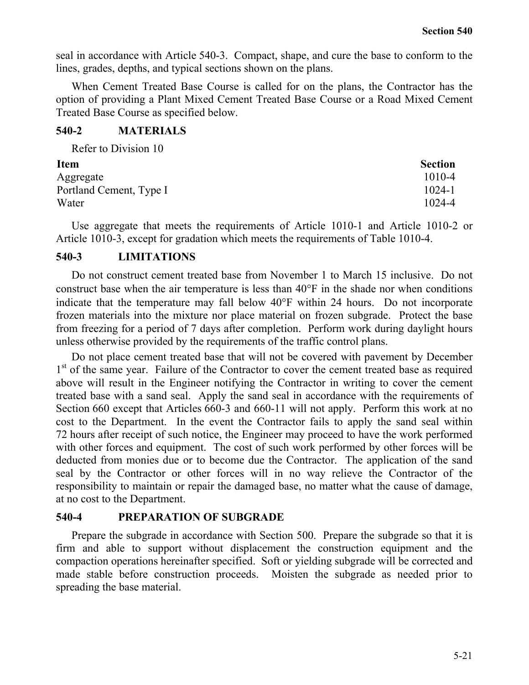seal in accordance with Article 540-3. Compact, shape, and cure the base to conform to the lines, grades, depths, and typical sections shown on the plans.

When Cement Treated Base Course is called for on the plans, the Contractor has the option of providing a Plant Mixed Cement Treated Base Course or a Road Mixed Cement Treated Base Course as specified below.

## **540-2 MATERIALS** Refer to Division 10

| <b>Section</b> |
|----------------|
| $1010 - 4$     |
| $1024 - 1$     |
| 1024-4         |
|                |

Use aggregate that meets the requirements of Article 1010-1 and Article 1010-2 or Article 1010-3, except for gradation which meets the requirements of Table 1010-4.

## **540-3 LIMITATIONS**

Do not construct cement treated base from November 1 to March 15 inclusive. Do not construct base when the air temperature is less than 40°F in the shade nor when conditions indicate that the temperature may fall below 40°F within 24 hours. Do not incorporate frozen materials into the mixture nor place material on frozen subgrade. Protect the base from freezing for a period of 7 days after completion. Perform work during daylight hours unless otherwise provided by the requirements of the traffic control plans.

Do not place cement treated base that will not be covered with pavement by December 1<sup>st</sup> of the same year. Failure of the Contractor to cover the cement treated base as required above will result in the Engineer notifying the Contractor in writing to cover the cement treated base with a sand seal. Apply the sand seal in accordance with the requirements of Section 660 except that Articles 660-3 and 660-11 will not apply. Perform this work at no cost to the Department. In the event the Contractor fails to apply the sand seal within 72 hours after receipt of such notice, the Engineer may proceed to have the work performed with other forces and equipment. The cost of such work performed by other forces will be deducted from monies due or to become due the Contractor. The application of the sand seal by the Contractor or other forces will in no way relieve the Contractor of the responsibility to maintain or repair the damaged base, no matter what the cause of damage, at no cost to the Department.

## **540-4 PREPARATION OF SUBGRADE**

Prepare the subgrade in accordance with Section 500. Prepare the subgrade so that it is firm and able to support without displacement the construction equipment and the compaction operations hereinafter specified. Soft or yielding subgrade will be corrected and made stable before construction proceeds. Moisten the subgrade as needed prior to spreading the base material.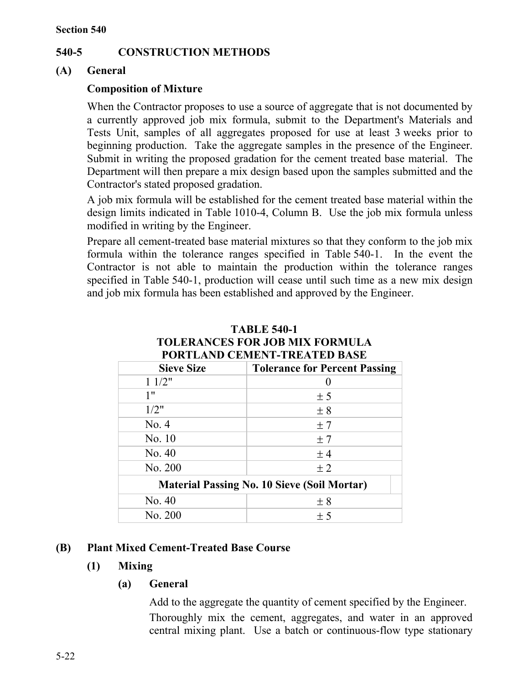# **540-5 CONSTRUCTION METHODS**

## **(A) General**

# **Composition of Mixture**

When the Contractor proposes to use a source of aggregate that is not documented by a currently approved job mix formula, submit to the Department's Materials and Tests Unit, samples of all aggregates proposed for use at least 3 weeks prior to beginning production. Take the aggregate samples in the presence of the Engineer. Submit in writing the proposed gradation for the cement treated base material. The Department will then prepare a mix design based upon the samples submitted and the Contractor's stated proposed gradation.

A job mix formula will be established for the cement treated base material within the design limits indicated in Table 1010-4, Column B. Use the job mix formula unless modified in writing by the Engineer.

Prepare all cement-treated base material mixtures so that they conform to the job mix formula within the tolerance ranges specified in Table 540-1. In the event the Contractor is not able to maintain the production within the tolerance ranges specified in Table 540-1, production will cease until such time as a new mix design and job mix formula has been established and approved by the Engineer.

| TUN LLAND CEMENT-I NEATED DASE                     |                                      |  |
|----------------------------------------------------|--------------------------------------|--|
| <b>Sieve Size</b>                                  | <b>Tolerance for Percent Passing</b> |  |
| 11/2"                                              |                                      |  |
| 1"                                                 | ± 5                                  |  |
| 1/2"                                               | ± 8                                  |  |
| No. 4                                              | ±7                                   |  |
| No. 10                                             | ±7                                   |  |
| No. 40                                             | $±$ 4                                |  |
| No. 200                                            | ±2                                   |  |
| <b>Material Passing No. 10 Sieve (Soil Mortar)</b> |                                      |  |
| No. 40                                             | ± 8                                  |  |
| No. 200                                            | ± 5                                  |  |

#### **TABLE 540-1 TOLERANCES FOR JOB MIX FORMULA PODTLAND CEMENT-TREATED BASE**

## **(B) Plant Mixed Cement-Treated Base Course**

# **(1) Mixing**

# **(a) General**

Add to the aggregate the quantity of cement specified by the Engineer. Thoroughly mix the cement, aggregates, and water in an approved central mixing plant. Use a batch or continuous-flow type stationary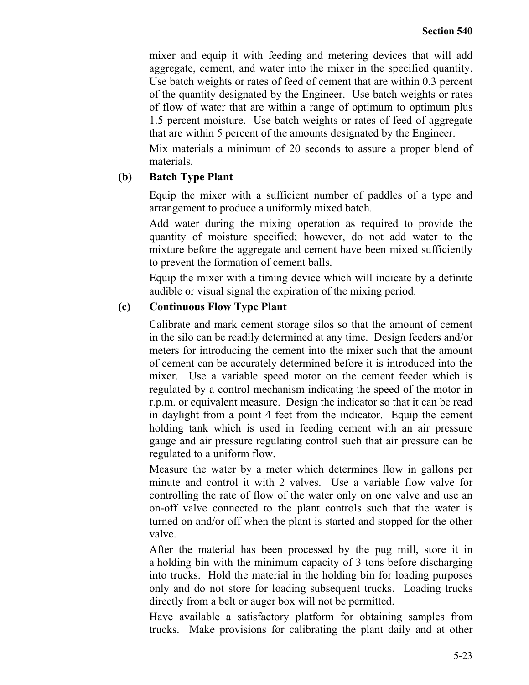mixer and equip it with feeding and metering devices that will add aggregate, cement, and water into the mixer in the specified quantity. Use batch weights or rates of feed of cement that are within 0.3 percent of the quantity designated by the Engineer. Use batch weights or rates of flow of water that are within a range of optimum to optimum plus 1.5 percent moisture. Use batch weights or rates of feed of aggregate that are within 5 percent of the amounts designated by the Engineer.

Mix materials a minimum of 20 seconds to assure a proper blend of materials.

## **(b) Batch Type Plant**

Equip the mixer with a sufficient number of paddles of a type and arrangement to produce a uniformly mixed batch.

Add water during the mixing operation as required to provide the quantity of moisture specified; however, do not add water to the mixture before the aggregate and cement have been mixed sufficiently to prevent the formation of cement balls.

Equip the mixer with a timing device which will indicate by a definite audible or visual signal the expiration of the mixing period.

## **(c) Continuous Flow Type Plant**

Calibrate and mark cement storage silos so that the amount of cement in the silo can be readily determined at any time. Design feeders and/or meters for introducing the cement into the mixer such that the amount of cement can be accurately determined before it is introduced into the mixer. Use a variable speed motor on the cement feeder which is regulated by a control mechanism indicating the speed of the motor in r.p.m. or equivalent measure. Design the indicator so that it can be read in daylight from a point 4 feet from the indicator. Equip the cement holding tank which is used in feeding cement with an air pressure gauge and air pressure regulating control such that air pressure can be regulated to a uniform flow.

Measure the water by a meter which determines flow in gallons per minute and control it with 2 valves. Use a variable flow valve for controlling the rate of flow of the water only on one valve and use an on-off valve connected to the plant controls such that the water is turned on and/or off when the plant is started and stopped for the other valve.

After the material has been processed by the pug mill, store it in a holding bin with the minimum capacity of 3 tons before discharging into trucks. Hold the material in the holding bin for loading purposes only and do not store for loading subsequent trucks. Loading trucks directly from a belt or auger box will not be permitted.

Have available a satisfactory platform for obtaining samples from trucks. Make provisions for calibrating the plant daily and at other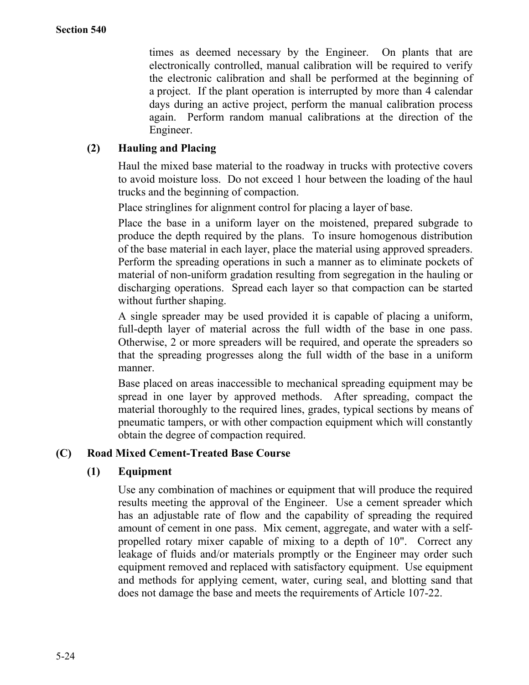times as deemed necessary by the Engineer. On plants that are electronically controlled, manual calibration will be required to verify the electronic calibration and shall be performed at the beginning of a project. If the plant operation is interrupted by more than 4 calendar days during an active project, perform the manual calibration process again. Perform random manual calibrations at the direction of the Engineer.

# **(2) Hauling and Placing**

Haul the mixed base material to the roadway in trucks with protective covers to avoid moisture loss. Do not exceed 1 hour between the loading of the haul trucks and the beginning of compaction.

Place stringlines for alignment control for placing a layer of base.

Place the base in a uniform layer on the moistened, prepared subgrade to produce the depth required by the plans. To insure homogenous distribution of the base material in each layer, place the material using approved spreaders. Perform the spreading operations in such a manner as to eliminate pockets of material of non-uniform gradation resulting from segregation in the hauling or discharging operations. Spread each layer so that compaction can be started without further shaping.

A single spreader may be used provided it is capable of placing a uniform, full-depth layer of material across the full width of the base in one pass. Otherwise, 2 or more spreaders will be required, and operate the spreaders so that the spreading progresses along the full width of the base in a uniform manner.

Base placed on areas inaccessible to mechanical spreading equipment may be spread in one layer by approved methods. After spreading, compact the material thoroughly to the required lines, grades, typical sections by means of pneumatic tampers, or with other compaction equipment which will constantly obtain the degree of compaction required.

## **(C) Road Mixed Cement-Treated Base Course**

## **(1) Equipment**

Use any combination of machines or equipment that will produce the required results meeting the approval of the Engineer. Use a cement spreader which has an adjustable rate of flow and the capability of spreading the required amount of cement in one pass. Mix cement, aggregate, and water with a selfpropelled rotary mixer capable of mixing to a depth of 10". Correct any leakage of fluids and/or materials promptly or the Engineer may order such equipment removed and replaced with satisfactory equipment. Use equipment and methods for applying cement, water, curing seal, and blotting sand that does not damage the base and meets the requirements of Article 107-22.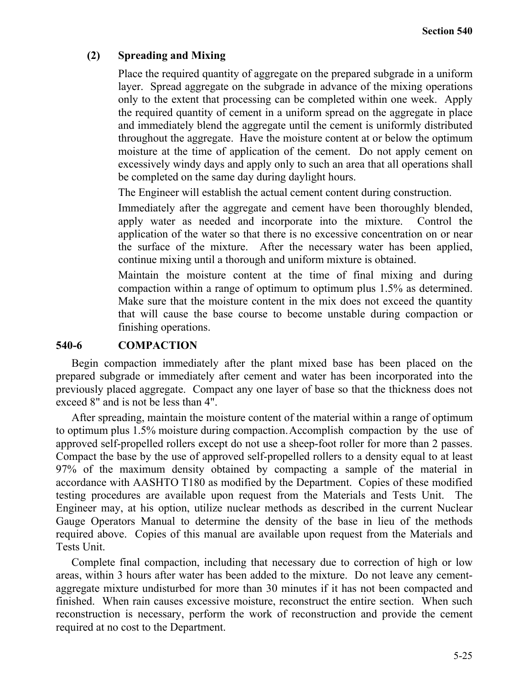## **(2) Spreading and Mixing**

Place the required quantity of aggregate on the prepared subgrade in a uniform layer. Spread aggregate on the subgrade in advance of the mixing operations only to the extent that processing can be completed within one week. Apply the required quantity of cement in a uniform spread on the aggregate in place and immediately blend the aggregate until the cement is uniformly distributed throughout the aggregate. Have the moisture content at or below the optimum moisture at the time of application of the cement. Do not apply cement on excessively windy days and apply only to such an area that all operations shall be completed on the same day during daylight hours.

The Engineer will establish the actual cement content during construction.

Immediately after the aggregate and cement have been thoroughly blended, apply water as needed and incorporate into the mixture. Control the application of the water so that there is no excessive concentration on or near the surface of the mixture. After the necessary water has been applied, continue mixing until a thorough and uniform mixture is obtained.

Maintain the moisture content at the time of final mixing and during compaction within a range of optimum to optimum plus 1.5% as determined. Make sure that the moisture content in the mix does not exceed the quantity that will cause the base course to become unstable during compaction or finishing operations.

## **540-6 COMPACTION**

Begin compaction immediately after the plant mixed base has been placed on the prepared subgrade or immediately after cement and water has been incorporated into the previously placed aggregate. Compact any one layer of base so that the thickness does not exceed 8" and is not be less than 4".

After spreading, maintain the moisture content of the material within a range of optimum to optimum plus 1.5% moisture during compaction.Accomplish compaction by the use of approved self-propelled rollers except do not use a sheep-foot roller for more than 2 passes. Compact the base by the use of approved self-propelled rollers to a density equal to at least 97% of the maximum density obtained by compacting a sample of the material in accordance with AASHTO T180 as modified by the Department. Copies of these modified testing procedures are available upon request from the Materials and Tests Unit. The Engineer may, at his option, utilize nuclear methods as described in the current Nuclear Gauge Operators Manual to determine the density of the base in lieu of the methods required above. Copies of this manual are available upon request from the Materials and Tests Unit.

Complete final compaction, including that necessary due to correction of high or low areas, within 3 hours after water has been added to the mixture. Do not leave any cementaggregate mixture undisturbed for more than 30 minutes if it has not been compacted and finished. When rain causes excessive moisture, reconstruct the entire section. When such reconstruction is necessary, perform the work of reconstruction and provide the cement required at no cost to the Department.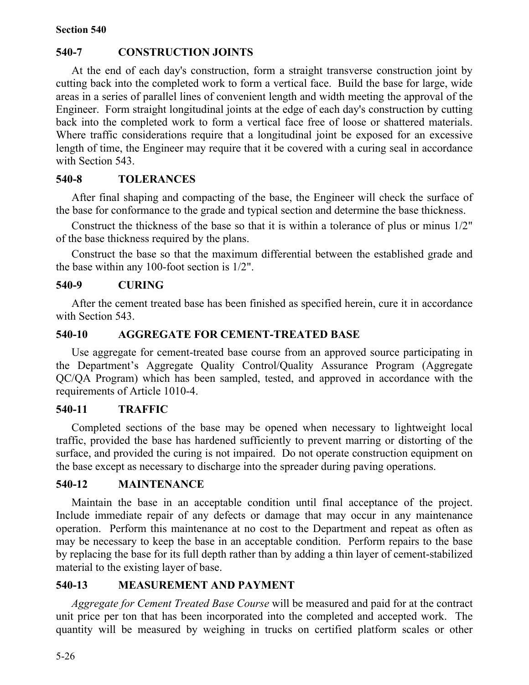# **540-7 CONSTRUCTION JOINTS**

At the end of each day's construction, form a straight transverse construction joint by cutting back into the completed work to form a vertical face. Build the base for large, wide areas in a series of parallel lines of convenient length and width meeting the approval of the Engineer. Form straight longitudinal joints at the edge of each day's construction by cutting back into the completed work to form a vertical face free of loose or shattered materials. Where traffic considerations require that a longitudinal joint be exposed for an excessive length of time, the Engineer may require that it be covered with a curing seal in accordance with Section 543.

## **540-8 TOLERANCES**

After final shaping and compacting of the base, the Engineer will check the surface of the base for conformance to the grade and typical section and determine the base thickness.

Construct the thickness of the base so that it is within a tolerance of plus or minus 1/2" of the base thickness required by the plans.

Construct the base so that the maximum differential between the established grade and the base within any 100-foot section is 1/2".

## **540-9 CURING**

After the cement treated base has been finished as specified herein, cure it in accordance with Section 543.

## **540-10 AGGREGATE FOR CEMENT-TREATED BASE**

Use aggregate for cement-treated base course from an approved source participating in the Department's Aggregate Quality Control/Quality Assurance Program (Aggregate QC/QA Program) which has been sampled, tested, and approved in accordance with the requirements of Article 1010-4.

## **540-11 TRAFFIC**

Completed sections of the base may be opened when necessary to lightweight local traffic, provided the base has hardened sufficiently to prevent marring or distorting of the surface, and provided the curing is not impaired. Do not operate construction equipment on the base except as necessary to discharge into the spreader during paving operations.

## **540-12 MAINTENANCE**

Maintain the base in an acceptable condition until final acceptance of the project. Include immediate repair of any defects or damage that may occur in any maintenance operation. Perform this maintenance at no cost to the Department and repeat as often as may be necessary to keep the base in an acceptable condition. Perform repairs to the base by replacing the base for its full depth rather than by adding a thin layer of cement-stabilized material to the existing layer of base.

# **540-13 MEASUREMENT AND PAYMENT**

*Aggregate for Cement Treated Base Course* will be measured and paid for at the contract unit price per ton that has been incorporated into the completed and accepted work. The quantity will be measured by weighing in trucks on certified platform scales or other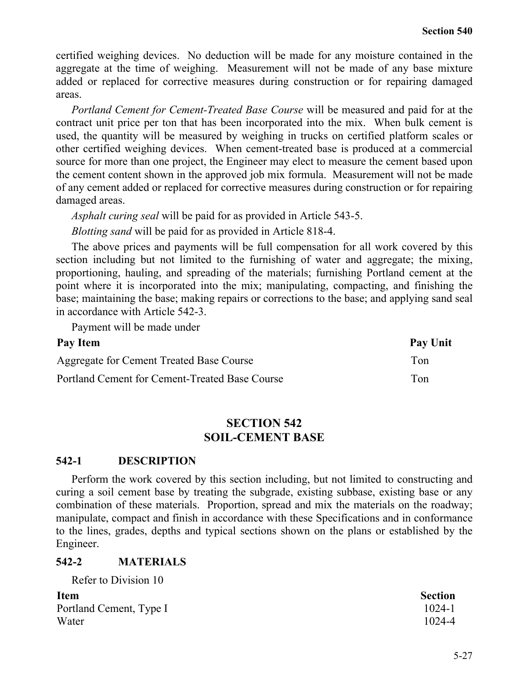certified weighing devices. No deduction will be made for any moisture contained in the aggregate at the time of weighing. Measurement will not be made of any base mixture added or replaced for corrective measures during construction or for repairing damaged areas.

*Portland Cement for Cement-Treated Base Course* will be measured and paid for at the contract unit price per ton that has been incorporated into the mix. When bulk cement is used, the quantity will be measured by weighing in trucks on certified platform scales or other certified weighing devices. When cement-treated base is produced at a commercial source for more than one project, the Engineer may elect to measure the cement based upon the cement content shown in the approved job mix formula. Measurement will not be made of any cement added or replaced for corrective measures during construction or for repairing damaged areas.

*Asphalt curing seal* will be paid for as provided in Article 543-5.

*Blotting sand* will be paid for as provided in Article 818-4.

The above prices and payments will be full compensation for all work covered by this section including but not limited to the furnishing of water and aggregate; the mixing, proportioning, hauling, and spreading of the materials; furnishing Portland cement at the point where it is incorporated into the mix; manipulating, compacting, and finishing the base; maintaining the base; making repairs or corrections to the base; and applying sand seal in accordance with Article 542-3.

Payment will be made under

| Pay Item                                       | Pay Unit |
|------------------------------------------------|----------|
| Aggregate for Cement Treated Base Course       | Ton      |
| Portland Cement for Cement-Treated Base Course | Ton      |

## **SECTION 542 SOIL-CEMENT BASE**

## **542-1 DESCRIPTION**

Perform the work covered by this section including, but not limited to constructing and curing a soil cement base by treating the subgrade, existing subbase, existing base or any combination of these materials. Proportion, spread and mix the materials on the roadway; manipulate, compact and finish in accordance with these Specifications and in conformance to the lines, grades, depths and typical sections shown on the plans or established by the Engineer.

## **542-2 MATERIALS**

Refer to Division 10 **Item Section** Portland Cement, Type I 1024-1 Water 1024-4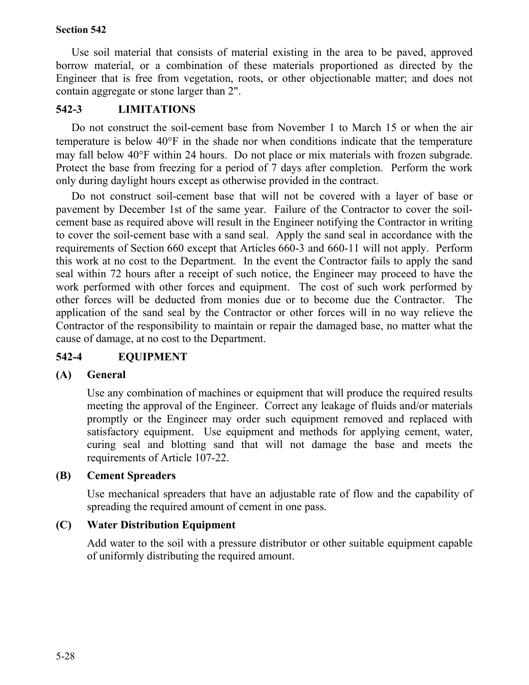Use soil material that consists of material existing in the area to be paved, approved borrow material, or a combination of these materials proportioned as directed by the Engineer that is free from vegetation, roots, or other objectionable matter; and does not contain aggregate or stone larger than 2".

# **542-3 LIMITATIONS**

Do not construct the soil-cement base from November 1 to March 15 or when the air temperature is below 40°F in the shade nor when conditions indicate that the temperature may fall below 40°F within 24 hours. Do not place or mix materials with frozen subgrade. Protect the base from freezing for a period of 7 days after completion. Perform the work only during daylight hours except as otherwise provided in the contract.

Do not construct soil-cement base that will not be covered with a layer of base or pavement by December 1st of the same year. Failure of the Contractor to cover the soilcement base as required above will result in the Engineer notifying the Contractor in writing to cover the soil-cement base with a sand seal. Apply the sand seal in accordance with the requirements of Section 660 except that Articles 660-3 and 660-11 will not apply. Perform this work at no cost to the Department. In the event the Contractor fails to apply the sand seal within 72 hours after a receipt of such notice, the Engineer may proceed to have the work performed with other forces and equipment. The cost of such work performed by other forces will be deducted from monies due or to become due the Contractor. The application of the sand seal by the Contractor or other forces will in no way relieve the Contractor of the responsibility to maintain or repair the damaged base, no matter what the cause of damage, at no cost to the Department.

# **542-4 EQUIPMENT**

## **(A) General**

Use any combination of machines or equipment that will produce the required results meeting the approval of the Engineer. Correct any leakage of fluids and/or materials promptly or the Engineer may order such equipment removed and replaced with satisfactory equipment. Use equipment and methods for applying cement, water, curing seal and blotting sand that will not damage the base and meets the requirements of Article 107-22.

## **(B) Cement Spreaders**

Use mechanical spreaders that have an adjustable rate of flow and the capability of spreading the required amount of cement in one pass.

## **(C) Water Distribution Equipment**

Add water to the soil with a pressure distributor or other suitable equipment capable of uniformly distributing the required amount.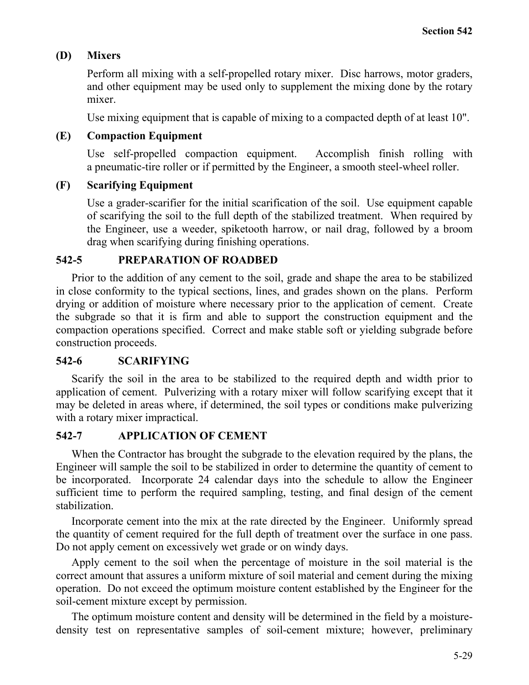# **(D) Mixers**

Perform all mixing with a self-propelled rotary mixer. Disc harrows, motor graders, and other equipment may be used only to supplement the mixing done by the rotary mixer.

Use mixing equipment that is capable of mixing to a compacted depth of at least 10".

## **(E) Compaction Equipment**

Use self-propelled compaction equipment. Accomplish finish rolling with a pneumatic-tire roller or if permitted by the Engineer, a smooth steel-wheel roller.

## **(F) Scarifying Equipment**

Use a grader-scarifier for the initial scarification of the soil. Use equipment capable of scarifying the soil to the full depth of the stabilized treatment. When required by the Engineer, use a weeder, spiketooth harrow, or nail drag, followed by a broom drag when scarifying during finishing operations.

## **542-5 PREPARATION OF ROADBED**

Prior to the addition of any cement to the soil, grade and shape the area to be stabilized in close conformity to the typical sections, lines, and grades shown on the plans. Perform drying or addition of moisture where necessary prior to the application of cement. Create the subgrade so that it is firm and able to support the construction equipment and the compaction operations specified. Correct and make stable soft or yielding subgrade before construction proceeds.

# **542-6 SCARIFYING**

Scarify the soil in the area to be stabilized to the required depth and width prior to application of cement. Pulverizing with a rotary mixer will follow scarifying except that it may be deleted in areas where, if determined, the soil types or conditions make pulverizing with a rotary mixer impractical.

## **542-7 APPLICATION OF CEMENT**

When the Contractor has brought the subgrade to the elevation required by the plans, the Engineer will sample the soil to be stabilized in order to determine the quantity of cement to be incorporated. Incorporate 24 calendar days into the schedule to allow the Engineer sufficient time to perform the required sampling, testing, and final design of the cement stabilization.

Incorporate cement into the mix at the rate directed by the Engineer. Uniformly spread the quantity of cement required for the full depth of treatment over the surface in one pass. Do not apply cement on excessively wet grade or on windy days.

Apply cement to the soil when the percentage of moisture in the soil material is the correct amount that assures a uniform mixture of soil material and cement during the mixing operation. Do not exceed the optimum moisture content established by the Engineer for the soil-cement mixture except by permission.

The optimum moisture content and density will be determined in the field by a moisturedensity test on representative samples of soil-cement mixture; however, preliminary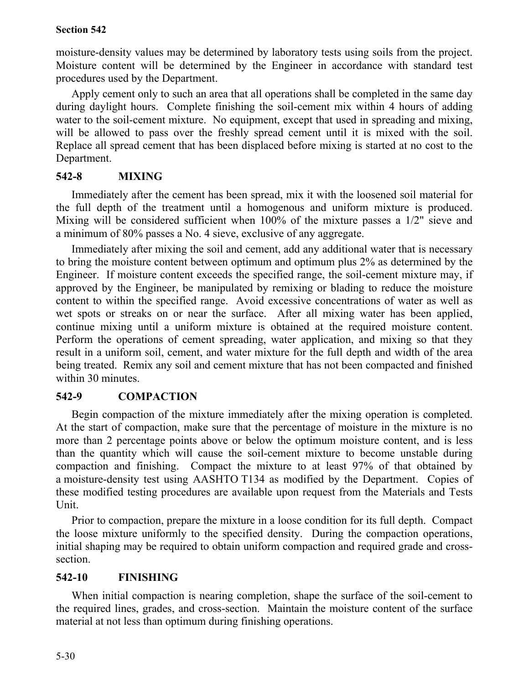moisture-density values may be determined by laboratory tests using soils from the project. Moisture content will be determined by the Engineer in accordance with standard test procedures used by the Department.

Apply cement only to such an area that all operations shall be completed in the same day during daylight hours. Complete finishing the soil-cement mix within 4 hours of adding water to the soil-cement mixture. No equipment, except that used in spreading and mixing, will be allowed to pass over the freshly spread cement until it is mixed with the soil. Replace all spread cement that has been displaced before mixing is started at no cost to the Department.

# **542-8 MIXING**

Immediately after the cement has been spread, mix it with the loosened soil material for the full depth of the treatment until a homogenous and uniform mixture is produced. Mixing will be considered sufficient when 100% of the mixture passes a 1/2" sieve and a minimum of 80% passes a No. 4 sieve, exclusive of any aggregate.

Immediately after mixing the soil and cement, add any additional water that is necessary to bring the moisture content between optimum and optimum plus 2% as determined by the Engineer. If moisture content exceeds the specified range, the soil-cement mixture may, if approved by the Engineer, be manipulated by remixing or blading to reduce the moisture content to within the specified range. Avoid excessive concentrations of water as well as wet spots or streaks on or near the surface. After all mixing water has been applied, continue mixing until a uniform mixture is obtained at the required moisture content. Perform the operations of cement spreading, water application, and mixing so that they result in a uniform soil, cement, and water mixture for the full depth and width of the area being treated. Remix any soil and cement mixture that has not been compacted and finished within 30 minutes.

# **542-9 COMPACTION**

Begin compaction of the mixture immediately after the mixing operation is completed. At the start of compaction, make sure that the percentage of moisture in the mixture is no more than 2 percentage points above or below the optimum moisture content, and is less than the quantity which will cause the soil-cement mixture to become unstable during compaction and finishing. Compact the mixture to at least 97% of that obtained by a moisture-density test using AASHTO T134 as modified by the Department. Copies of these modified testing procedures are available upon request from the Materials and Tests Unit.

Prior to compaction, prepare the mixture in a loose condition for its full depth. Compact the loose mixture uniformly to the specified density. During the compaction operations, initial shaping may be required to obtain uniform compaction and required grade and crosssection.

# **542-10 FINISHING**

When initial compaction is nearing completion, shape the surface of the soil-cement to the required lines, grades, and cross-section. Maintain the moisture content of the surface material at not less than optimum during finishing operations.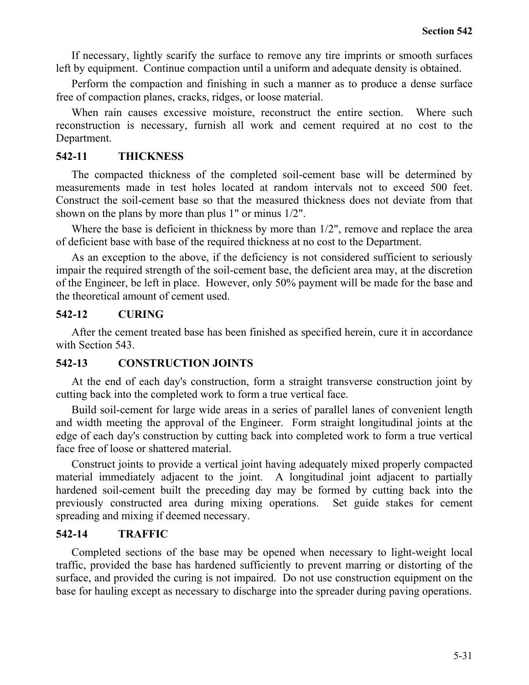If necessary, lightly scarify the surface to remove any tire imprints or smooth surfaces left by equipment. Continue compaction until a uniform and adequate density is obtained.

Perform the compaction and finishing in such a manner as to produce a dense surface free of compaction planes, cracks, ridges, or loose material.

When rain causes excessive moisture, reconstruct the entire section. Where such reconstruction is necessary, furnish all work and cement required at no cost to the Department.

## **542-11 THICKNESS**

The compacted thickness of the completed soil-cement base will be determined by measurements made in test holes located at random intervals not to exceed 500 feet. Construct the soil-cement base so that the measured thickness does not deviate from that shown on the plans by more than plus 1" or minus 1/2".

Where the base is deficient in thickness by more than  $1/2$ ", remove and replace the area of deficient base with base of the required thickness at no cost to the Department.

As an exception to the above, if the deficiency is not considered sufficient to seriously impair the required strength of the soil-cement base, the deficient area may, at the discretion of the Engineer, be left in place. However, only 50% payment will be made for the base and the theoretical amount of cement used.

## **542-12 CURING**

After the cement treated base has been finished as specified herein, cure it in accordance with Section 543.

## **542-13 CONSTRUCTION JOINTS**

At the end of each day's construction, form a straight transverse construction joint by cutting back into the completed work to form a true vertical face.

Build soil-cement for large wide areas in a series of parallel lanes of convenient length and width meeting the approval of the Engineer. Form straight longitudinal joints at the edge of each day's construction by cutting back into completed work to form a true vertical face free of loose or shattered material.

Construct joints to provide a vertical joint having adequately mixed properly compacted material immediately adjacent to the joint. A longitudinal joint adjacent to partially hardened soil-cement built the preceding day may be formed by cutting back into the previously constructed area during mixing operations. Set guide stakes for cement spreading and mixing if deemed necessary.

## **542-14 TRAFFIC**

Completed sections of the base may be opened when necessary to light-weight local traffic, provided the base has hardened sufficiently to prevent marring or distorting of the surface, and provided the curing is not impaired. Do not use construction equipment on the base for hauling except as necessary to discharge into the spreader during paving operations.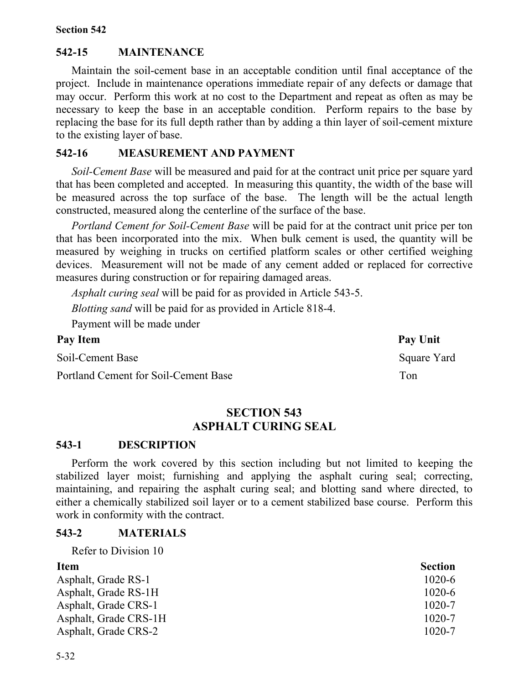## **542-15 MAINTENANCE**

Maintain the soil-cement base in an acceptable condition until final acceptance of the project. Include in maintenance operations immediate repair of any defects or damage that may occur. Perform this work at no cost to the Department and repeat as often as may be necessary to keep the base in an acceptable condition. Perform repairs to the base by replacing the base for its full depth rather than by adding a thin layer of soil-cement mixture to the existing layer of base.

## **542-16 MEASUREMENT AND PAYMENT**

*Soil-Cement Base* will be measured and paid for at the contract unit price per square yard that has been completed and accepted. In measuring this quantity, the width of the base will be measured across the top surface of the base. The length will be the actual length constructed, measured along the centerline of the surface of the base.

*Portland Cement for Soil-Cement Base* will be paid for at the contract unit price per ton that has been incorporated into the mix. When bulk cement is used, the quantity will be measured by weighing in trucks on certified platform scales or other certified weighing devices. Measurement will not be made of any cement added or replaced for corrective measures during construction or for repairing damaged areas.

*Asphalt curing seal* will be paid for as provided in Article 543-5.

*Blotting sand* will be paid for as provided in Article 818-4.

Payment will be made under

| Pay Item                             | Pay Unit    |
|--------------------------------------|-------------|
| Soil-Cement Base                     | Square Yard |
| Portland Cement for Soil-Cement Base | Ton         |

## **SECTION 543 ASPHALT CURING SEAL**

#### **543-1 DESCRIPTION**

Perform the work covered by this section including but not limited to keeping the stabilized layer moist; furnishing and applying the asphalt curing seal; correcting, maintaining, and repairing the asphalt curing seal; and blotting sand where directed, to either a chemically stabilized soil layer or to a cement stabilized base course. Perform this work in conformity with the contract.

#### **543-2 MATERIALS**

Refer to Division 10

| <b>Item</b>           | <b>Section</b> |
|-----------------------|----------------|
| Asphalt, Grade RS-1   | 1020-6         |
| Asphalt, Grade RS-1H  | 1020-6         |
| Asphalt, Grade CRS-1  | $1020 - 7$     |
| Asphalt, Grade CRS-1H | $1020 - 7$     |
| Asphalt, Grade CRS-2  | $1020 - 7$     |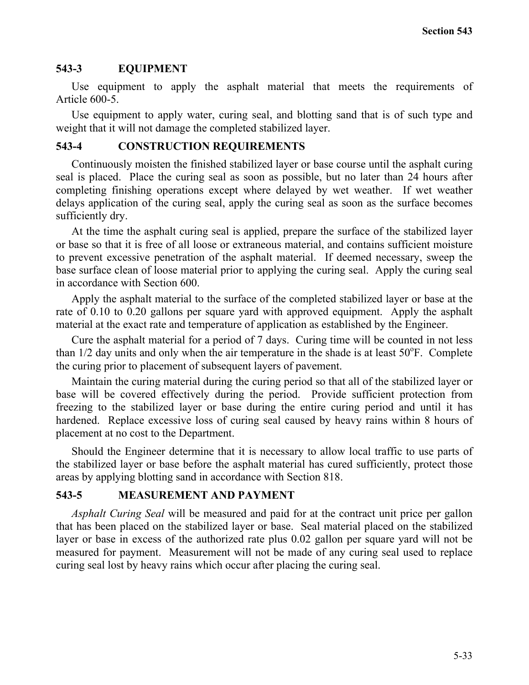## **543-3 EQUIPMENT**

Use equipment to apply the asphalt material that meets the requirements of Article 600-5.

Use equipment to apply water, curing seal, and blotting sand that is of such type and weight that it will not damage the completed stabilized layer.

## **543-4 CONSTRUCTION REQUIREMENTS**

Continuously moisten the finished stabilized layer or base course until the asphalt curing seal is placed. Place the curing seal as soon as possible, but no later than 24 hours after completing finishing operations except where delayed by wet weather. If wet weather delays application of the curing seal, apply the curing seal as soon as the surface becomes sufficiently dry.

At the time the asphalt curing seal is applied, prepare the surface of the stabilized layer or base so that it is free of all loose or extraneous material, and contains sufficient moisture to prevent excessive penetration of the asphalt material. If deemed necessary, sweep the base surface clean of loose material prior to applying the curing seal. Apply the curing seal in accordance with Section 600.

Apply the asphalt material to the surface of the completed stabilized layer or base at the rate of 0.10 to 0.20 gallons per square yard with approved equipment. Apply the asphalt material at the exact rate and temperature of application as established by the Engineer.

Cure the asphalt material for a period of 7 days. Curing time will be counted in not less than  $1/2$  day units and only when the air temperature in the shade is at least  $50^{\circ}$ F. Complete the curing prior to placement of subsequent layers of pavement.

Maintain the curing material during the curing period so that all of the stabilized layer or base will be covered effectively during the period. Provide sufficient protection from freezing to the stabilized layer or base during the entire curing period and until it has hardened. Replace excessive loss of curing seal caused by heavy rains within 8 hours of placement at no cost to the Department.

Should the Engineer determine that it is necessary to allow local traffic to use parts of the stabilized layer or base before the asphalt material has cured sufficiently, protect those areas by applying blotting sand in accordance with Section 818.

### **543-5 MEASUREMENT AND PAYMENT**

*Asphalt Curing Seal* will be measured and paid for at the contract unit price per gallon that has been placed on the stabilized layer or base. Seal material placed on the stabilized layer or base in excess of the authorized rate plus 0.02 gallon per square yard will not be measured for payment. Measurement will not be made of any curing seal used to replace curing seal lost by heavy rains which occur after placing the curing seal.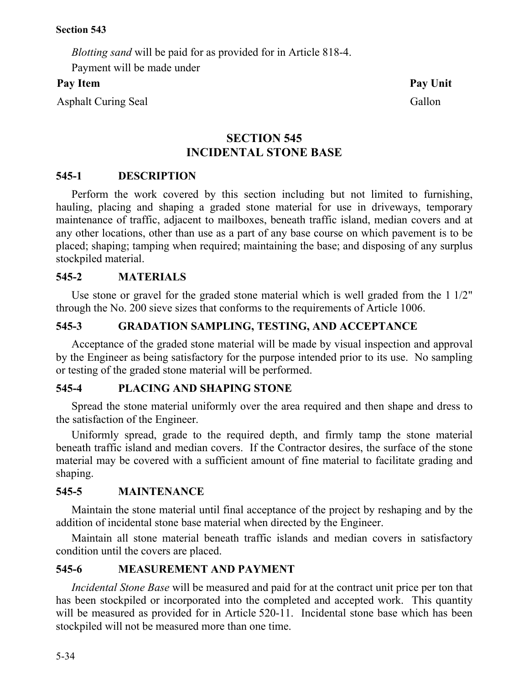*Blotting sand* will be paid for as provided for in Article 818-4.

Payment will be made under

Asphalt Curing Seal Gallon

# **SECTION 545 INCIDENTAL STONE BASE**

# **545-1 DESCRIPTION**

Perform the work covered by this section including but not limited to furnishing, hauling, placing and shaping a graded stone material for use in driveways, temporary maintenance of traffic, adjacent to mailboxes, beneath traffic island, median covers and at any other locations, other than use as a part of any base course on which pavement is to be placed; shaping; tamping when required; maintaining the base; and disposing of any surplus stockpiled material.

# **545-2 MATERIALS**

Use stone or gravel for the graded stone material which is well graded from the 1 1/2" through the No. 200 sieve sizes that conforms to the requirements of Article 1006.

# **545-3 GRADATION SAMPLING, TESTING, AND ACCEPTANCE**

Acceptance of the graded stone material will be made by visual inspection and approval by the Engineer as being satisfactory for the purpose intended prior to its use. No sampling or testing of the graded stone material will be performed.

## **545-4 PLACING AND SHAPING STONE**

Spread the stone material uniformly over the area required and then shape and dress to the satisfaction of the Engineer.

Uniformly spread, grade to the required depth, and firmly tamp the stone material beneath traffic island and median covers. If the Contractor desires, the surface of the stone material may be covered with a sufficient amount of fine material to facilitate grading and shaping.

# **545-5 MAINTENANCE**

Maintain the stone material until final acceptance of the project by reshaping and by the addition of incidental stone base material when directed by the Engineer.

Maintain all stone material beneath traffic islands and median covers in satisfactory condition until the covers are placed.

# **545-6 MEASUREMENT AND PAYMENT**

*Incidental Stone Base* will be measured and paid for at the contract unit price per ton that has been stockpiled or incorporated into the completed and accepted work. This quantity will be measured as provided for in Article 520-11. Incidental stone base which has been stockpiled will not be measured more than one time.

Pay Item **Pay Unit**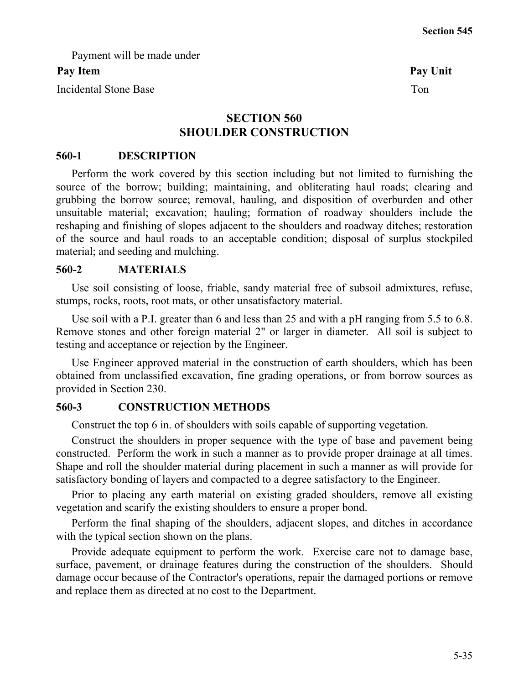Payment will be made under

## Pay Item Pay Unit

Incidental Stone Base Tomata and the United Stone Base Tomata and the United Stone Tomata and Tomata and Tomata and Tomata and Tomata and Tomata and Tomata and Tomata and Tomata and Tomata and Tomata and Tomata and Tomata

# **SECTION 560 SHOULDER CONSTRUCTION**

## **560-1 DESCRIPTION**

Perform the work covered by this section including but not limited to furnishing the source of the borrow; building; maintaining, and obliterating haul roads; clearing and grubbing the borrow source; removal, hauling, and disposition of overburden and other unsuitable material; excavation; hauling; formation of roadway shoulders include the reshaping and finishing of slopes adjacent to the shoulders and roadway ditches; restoration of the source and haul roads to an acceptable condition; disposal of surplus stockpiled material; and seeding and mulching.

## **560-2 MATERIALS**

Use soil consisting of loose, friable, sandy material free of subsoil admixtures, refuse, stumps, rocks, roots, root mats, or other unsatisfactory material.

Use soil with a P.I. greater than 6 and less than 25 and with a pH ranging from 5.5 to 6.8. Remove stones and other foreign material 2" or larger in diameter. All soil is subject to testing and acceptance or rejection by the Engineer.

Use Engineer approved material in the construction of earth shoulders, which has been obtained from unclassified excavation, fine grading operations, or from borrow sources as provided in Section 230.

## **560-3 CONSTRUCTION METHODS**

Construct the top 6 in. of shoulders with soils capable of supporting vegetation.

Construct the shoulders in proper sequence with the type of base and pavement being constructed. Perform the work in such a manner as to provide proper drainage at all times. Shape and roll the shoulder material during placement in such a manner as will provide for satisfactory bonding of layers and compacted to a degree satisfactory to the Engineer.

Prior to placing any earth material on existing graded shoulders, remove all existing vegetation and scarify the existing shoulders to ensure a proper bond.

Perform the final shaping of the shoulders, adjacent slopes, and ditches in accordance with the typical section shown on the plans.

Provide adequate equipment to perform the work. Exercise care not to damage base, surface, pavement, or drainage features during the construction of the shoulders. Should damage occur because of the Contractor's operations, repair the damaged portions or remove and replace them as directed at no cost to the Department.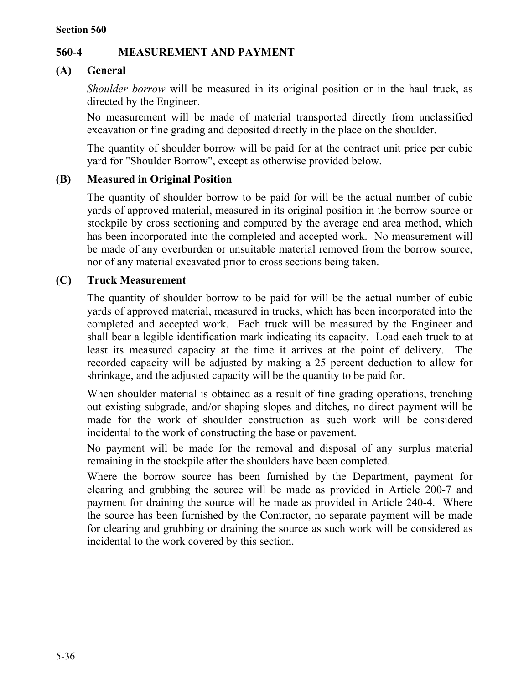# **560-4 MEASUREMENT AND PAYMENT**

# **(A) General**

*Shoulder borrow* will be measured in its original position or in the haul truck, as directed by the Engineer.

No measurement will be made of material transported directly from unclassified excavation or fine grading and deposited directly in the place on the shoulder.

The quantity of shoulder borrow will be paid for at the contract unit price per cubic yard for "Shoulder Borrow", except as otherwise provided below.

# **(B) Measured in Original Position**

The quantity of shoulder borrow to be paid for will be the actual number of cubic yards of approved material, measured in its original position in the borrow source or stockpile by cross sectioning and computed by the average end area method, which has been incorporated into the completed and accepted work. No measurement will be made of any overburden or unsuitable material removed from the borrow source, nor of any material excavated prior to cross sections being taken.

# **(C) Truck Measurement**

The quantity of shoulder borrow to be paid for will be the actual number of cubic yards of approved material, measured in trucks, which has been incorporated into the completed and accepted work. Each truck will be measured by the Engineer and shall bear a legible identification mark indicating its capacity. Load each truck to at least its measured capacity at the time it arrives at the point of delivery. The recorded capacity will be adjusted by making a 25 percent deduction to allow for shrinkage, and the adjusted capacity will be the quantity to be paid for.

When shoulder material is obtained as a result of fine grading operations, trenching out existing subgrade, and/or shaping slopes and ditches, no direct payment will be made for the work of shoulder construction as such work will be considered incidental to the work of constructing the base or pavement.

No payment will be made for the removal and disposal of any surplus material remaining in the stockpile after the shoulders have been completed.

Where the borrow source has been furnished by the Department, payment for clearing and grubbing the source will be made as provided in Article 200-7 and payment for draining the source will be made as provided in Article 240-4. Where the source has been furnished by the Contractor, no separate payment will be made for clearing and grubbing or draining the source as such work will be considered as incidental to the work covered by this section.